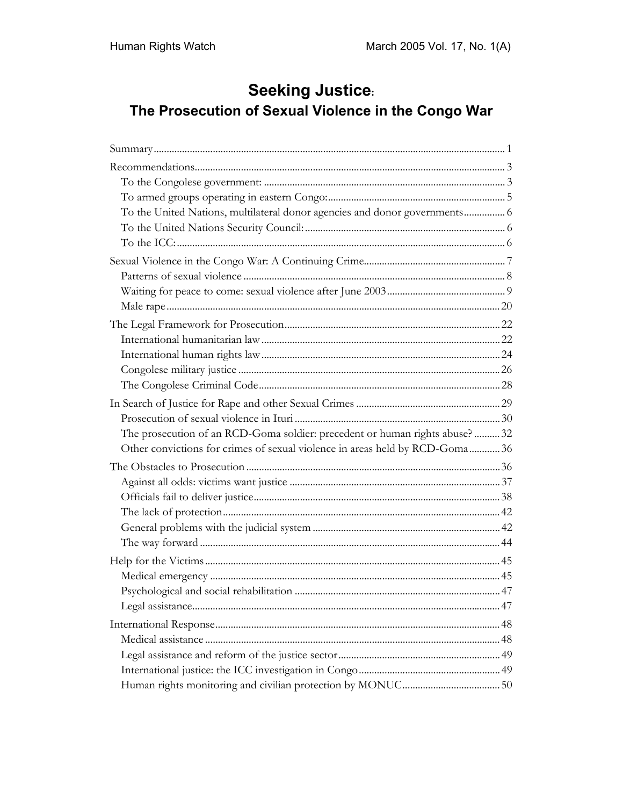# **Seeking Justice:** The Prosecution of Sexual Violence in the Congo War

| To the United Nations, multilateral donor agencies and donor governments 6   |  |
|------------------------------------------------------------------------------|--|
|                                                                              |  |
|                                                                              |  |
|                                                                              |  |
|                                                                              |  |
|                                                                              |  |
|                                                                              |  |
|                                                                              |  |
|                                                                              |  |
|                                                                              |  |
|                                                                              |  |
|                                                                              |  |
|                                                                              |  |
|                                                                              |  |
| The prosecution of an RCD-Goma soldier: precedent or human rights abuse?32   |  |
| Other convictions for crimes of sexual violence in areas held by RCD-Goma 36 |  |
|                                                                              |  |
|                                                                              |  |
|                                                                              |  |
|                                                                              |  |
|                                                                              |  |
|                                                                              |  |
|                                                                              |  |
|                                                                              |  |
|                                                                              |  |
|                                                                              |  |
|                                                                              |  |
|                                                                              |  |
|                                                                              |  |
|                                                                              |  |
|                                                                              |  |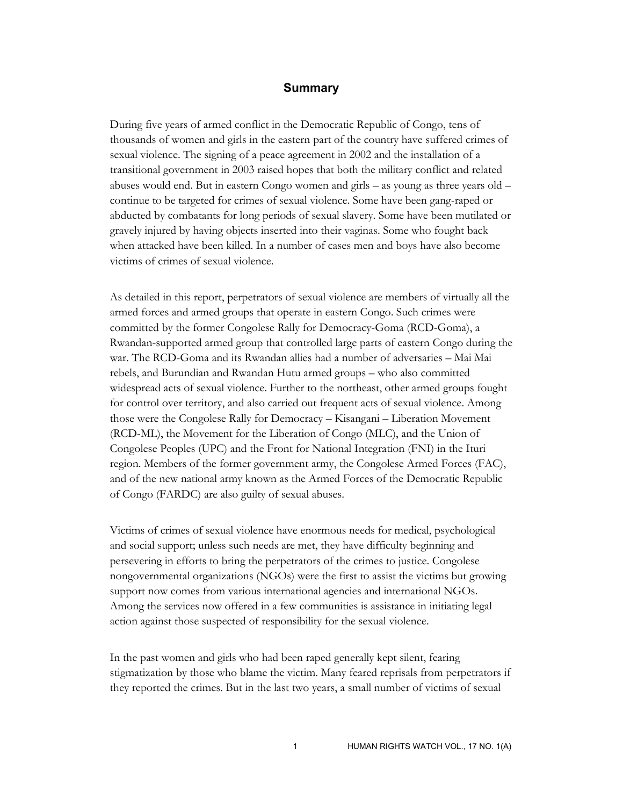#### **Summary**

During five years of armed conflict in the Democratic Republic of Congo, tens of thousands of women and girls in the eastern part of the country have suffered crimes of sexual violence. The signing of a peace agreement in 2002 and the installation of a transitional government in 2003 raised hopes that both the military conflict and related abuses would end. But in eastern Congo women and girls – as young as three years old – continue to be targeted for crimes of sexual violence. Some have been gang-raped or abducted by combatants for long periods of sexual slavery. Some have been mutilated or gravely injured by having objects inserted into their vaginas. Some who fought back when attacked have been killed. In a number of cases men and boys have also become victims of crimes of sexual violence.

As detailed in this report, perpetrators of sexual violence are members of virtually all the armed forces and armed groups that operate in eastern Congo. Such crimes were committed by the former Congolese Rally for Democracy-Goma (RCD-Goma), a Rwandan-supported armed group that controlled large parts of eastern Congo during the war. The RCD-Goma and its Rwandan allies had a number of adversaries – Mai Mai rebels, and Burundian and Rwandan Hutu armed groups – who also committed widespread acts of sexual violence. Further to the northeast, other armed groups fought for control over territory, and also carried out frequent acts of sexual violence. Among those were the Congolese Rally for Democracy – Kisangani – Liberation Movement (RCD-ML), the Movement for the Liberation of Congo (MLC), and the Union of Congolese Peoples (UPC) and the Front for National Integration (FNI) in the Ituri region. Members of the former government army, the Congolese Armed Forces (FAC), and of the new national army known as the Armed Forces of the Democratic Republic of Congo (FARDC) are also guilty of sexual abuses.

Victims of crimes of sexual violence have enormous needs for medical, psychological and social support; unless such needs are met, they have difficulty beginning and persevering in efforts to bring the perpetrators of the crimes to justice. Congolese nongovernmental organizations (NGOs) were the first to assist the victims but growing support now comes from various international agencies and international NGOs. Among the services now offered in a few communities is assistance in initiating legal action against those suspected of responsibility for the sexual violence.

In the past women and girls who had been raped generally kept silent, fearing stigmatization by those who blame the victim. Many feared reprisals from perpetrators if they reported the crimes. But in the last two years, a small number of victims of sexual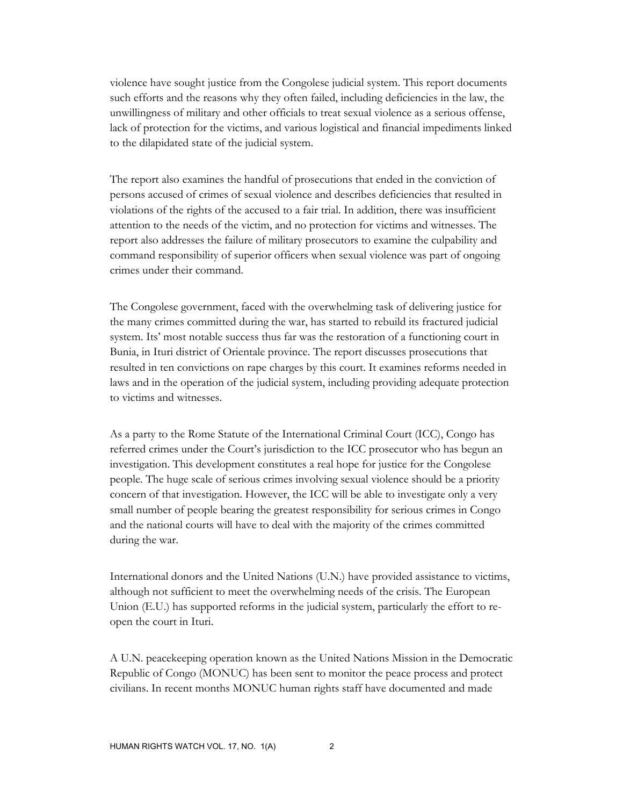violence have sought justice from the Congolese judicial system. This report documents such efforts and the reasons why they often failed, including deficiencies in the law, the unwillingness of military and other officials to treat sexual violence as a serious offense, lack of protection for the victims, and various logistical and financial impediments linked to the dilapidated state of the judicial system.

The report also examines the handful of prosecutions that ended in the conviction of persons accused of crimes of sexual violence and describes deficiencies that resulted in violations of the rights of the accused to a fair trial. In addition, there was insufficient attention to the needs of the victim, and no protection for victims and witnesses. The report also addresses the failure of military prosecutors to examine the culpability and command responsibility of superior officers when sexual violence was part of ongoing crimes under their command.

The Congolese government, faced with the overwhelming task of delivering justice for the many crimes committed during the war, has started to rebuild its fractured judicial system. Its' most notable success thus far was the restoration of a functioning court in Bunia, in Ituri district of Orientale province. The report discusses prosecutions that resulted in ten convictions on rape charges by this court. It examines reforms needed in laws and in the operation of the judicial system, including providing adequate protection to victims and witnesses.

As a party to the Rome Statute of the International Criminal Court (ICC), Congo has referred crimes under the Court's jurisdiction to the ICC prosecutor who has begun an investigation. This development constitutes a real hope for justice for the Congolese people. The huge scale of serious crimes involving sexual violence should be a priority concern of that investigation. However, the ICC will be able to investigate only a very small number of people bearing the greatest responsibility for serious crimes in Congo and the national courts will have to deal with the majority of the crimes committed during the war.

International donors and the United Nations (U.N.) have provided assistance to victims, although not sufficient to meet the overwhelming needs of the crisis. The European Union (E.U.) has supported reforms in the judicial system, particularly the effort to reopen the court in Ituri.

A U.N. peacekeeping operation known as the United Nations Mission in the Democratic Republic of Congo (MONUC) has been sent to monitor the peace process and protect civilians. In recent months MONUC human rights staff have documented and made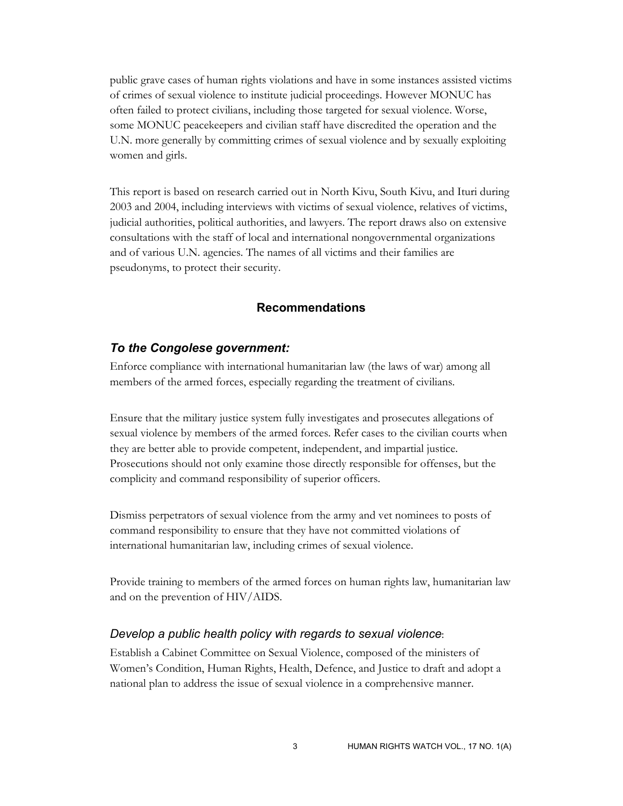public grave cases of human rights violations and have in some instances assisted victims of crimes of sexual violence to institute judicial proceedings. However MONUC has often failed to protect civilians, including those targeted for sexual violence. Worse, some MONUC peacekeepers and civilian staff have discredited the operation and the U.N. more generally by committing crimes of sexual violence and by sexually exploiting women and girls.

This report is based on research carried out in North Kivu, South Kivu, and Ituri during 2003 and 2004, including interviews with victims of sexual violence, relatives of victims, judicial authorities, political authorities, and lawyers. The report draws also on extensive consultations with the staff of local and international nongovernmental organizations and of various U.N. agencies. The names of all victims and their families are pseudonyms, to protect their security.

### **Recommendations**

### *To the Congolese government:*

Enforce compliance with international humanitarian law (the laws of war) among all members of the armed forces, especially regarding the treatment of civilians.

Ensure that the military justice system fully investigates and prosecutes allegations of sexual violence by members of the armed forces. Refer cases to the civilian courts when they are better able to provide competent, independent, and impartial justice. Prosecutions should not only examine those directly responsible for offenses, but the complicity and command responsibility of superior officers.

Dismiss perpetrators of sexual violence from the army and vet nominees to posts of command responsibility to ensure that they have not committed violations of international humanitarian law, including crimes of sexual violence.

Provide training to members of the armed forces on human rights law, humanitarian law and on the prevention of HIV/AIDS.

#### *Develop a public health policy with regards to sexual violence*:

Establish a Cabinet Committee on Sexual Violence, composed of the ministers of Women's Condition, Human Rights, Health, Defence, and Justice to draft and adopt a national plan to address the issue of sexual violence in a comprehensive manner.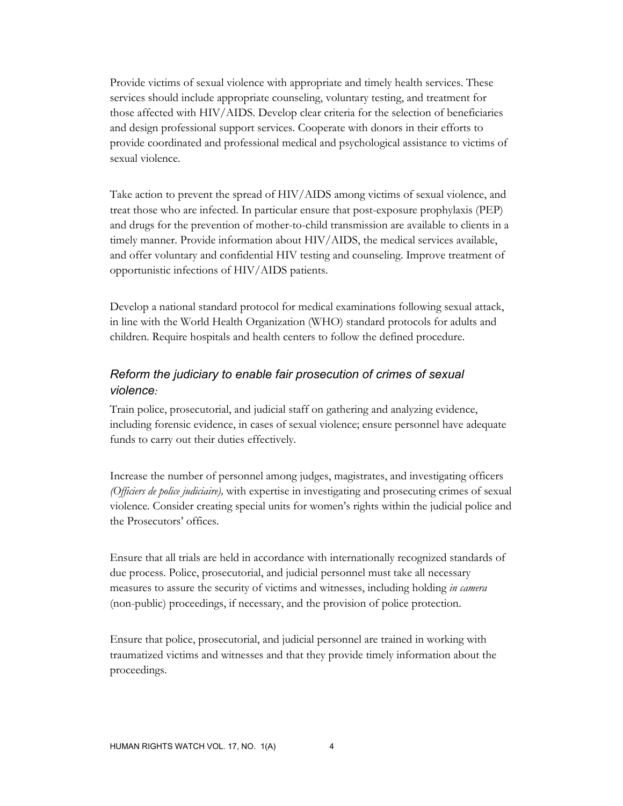Provide victims of sexual violence with appropriate and timely health services. These services should include appropriate counseling, voluntary testing, and treatment for those affected with HIV/AIDS. Develop clear criteria for the selection of beneficiaries and design professional support services. Cooperate with donors in their efforts to provide coordinated and professional medical and psychological assistance to victims of sexual violence.

Take action to prevent the spread of HIV/AIDS among victims of sexual violence, and treat those who are infected. In particular ensure that post-exposure prophylaxis (PEP) and drugs for the prevention of mother-to-child transmission are available to clients in a timely manner. Provide information about HIV/AIDS, the medical services available, and offer voluntary and confidential HIV testing and counseling. Improve treatment of opportunistic infections of HIV/AIDS patients.

Develop a national standard protocol for medical examinations following sexual attack, in line with the World Health Organization (WHO) standard protocols for adults and children. Require hospitals and health centers to follow the defined procedure.

# *Reform the judiciary to enable fair prosecution of crimes of sexual violence:*

Train police, prosecutorial, and judicial staff on gathering and analyzing evidence, including forensic evidence, in cases of sexual violence; ensure personnel have adequate funds to carry out their duties effectively.

Increase the number of personnel among judges, magistrates, and investigating officers *(Officiers de police judiciaire),* with expertise in investigating and prosecuting crimes of sexual violence*.* Consider creating special units for women's rights within the judicial police and the Prosecutors' offices.

Ensure that all trials are held in accordance with internationally recognized standards of due process. Police, prosecutorial, and judicial personnel must take all necessary measures to assure the security of victims and witnesses, including holding *in camera* (non-public) proceedings, if necessary, and the provision of police protection.

Ensure that police, prosecutorial, and judicial personnel are trained in working with traumatized victims and witnesses and that they provide timely information about the proceedings.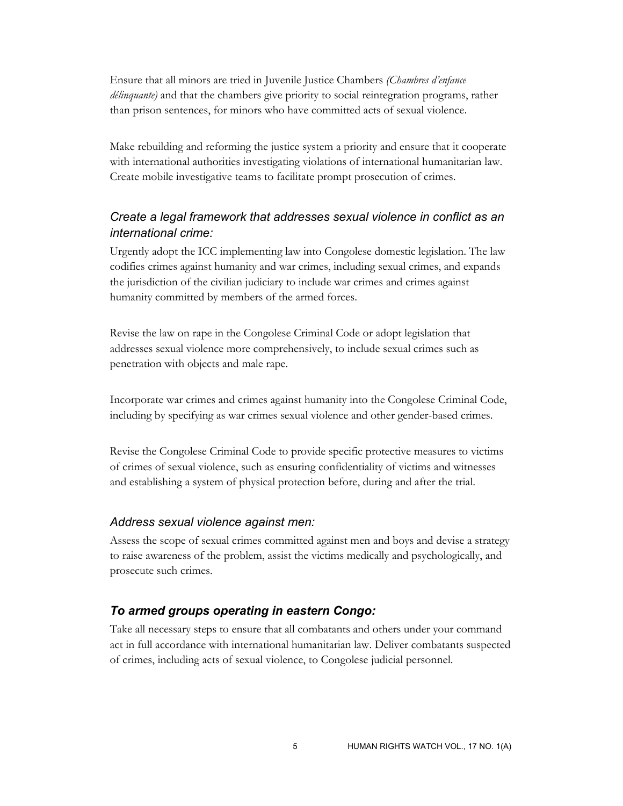Ensure that all minors are tried in Juvenile Justice Chambers *(Chambres d'enfance délinquante)* and that the chambers give priority to social reintegration programs, rather than prison sentences, for minors who have committed acts of sexual violence.

Make rebuilding and reforming the justice system a priority and ensure that it cooperate with international authorities investigating violations of international humanitarian law. Create mobile investigative teams to facilitate prompt prosecution of crimes.

# *Create a legal framework that addresses sexual violence in conflict as an international crime:*

Urgently adopt the ICC implementing law into Congolese domestic legislation. The law codifies crimes against humanity and war crimes, including sexual crimes, and expands the jurisdiction of the civilian judiciary to include war crimes and crimes against humanity committed by members of the armed forces.

Revise the law on rape in the Congolese Criminal Code or adopt legislation that addresses sexual violence more comprehensively, to include sexual crimes such as penetration with objects and male rape.

Incorporate war crimes and crimes against humanity into the Congolese Criminal Code, including by specifying as war crimes sexual violence and other gender-based crimes.

Revise the Congolese Criminal Code to provide specific protective measures to victims of crimes of sexual violence, such as ensuring confidentiality of victims and witnesses and establishing a system of physical protection before, during and after the trial.

### *Address sexual violence against men:*

Assess the scope of sexual crimes committed against men and boys and devise a strategy to raise awareness of the problem, assist the victims medically and psychologically, and prosecute such crimes.

### *To armed groups operating in eastern Congo:*

Take all necessary steps to ensure that all combatants and others under your command act in full accordance with international humanitarian law. Deliver combatants suspected of crimes, including acts of sexual violence, to Congolese judicial personnel.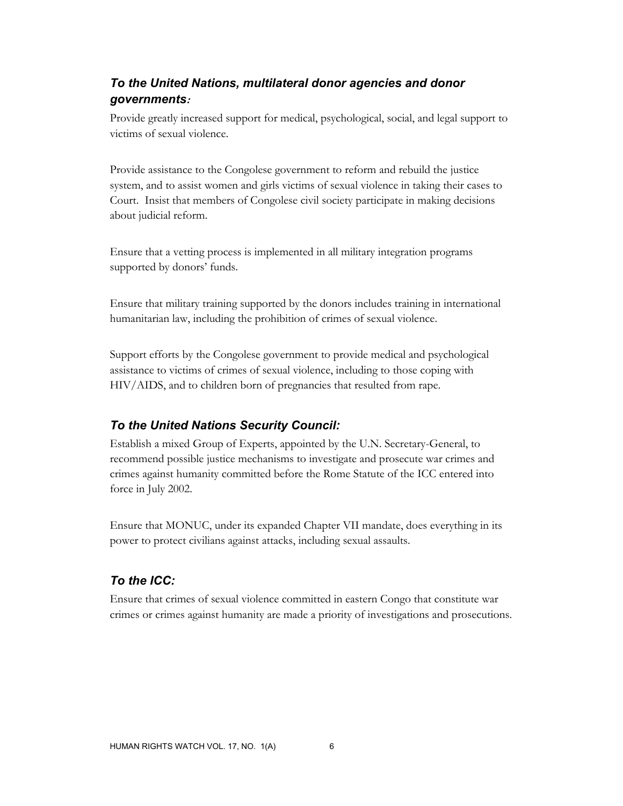# *To the United Nations, multilateral donor agencies and donor governments***:**

Provide greatly increased support for medical, psychological, social, and legal support to victims of sexual violence.

Provide assistance to the Congolese government to reform and rebuild the justice system, and to assist women and girls victims of sexual violence in taking their cases to Court. Insist that members of Congolese civil society participate in making decisions about judicial reform.

Ensure that a vetting process is implemented in all military integration programs supported by donors' funds.

Ensure that military training supported by the donors includes training in international humanitarian law, including the prohibition of crimes of sexual violence.

Support efforts by the Congolese government to provide medical and psychological assistance to victims of crimes of sexual violence, including to those coping with HIV/AIDS, and to children born of pregnancies that resulted from rape.

# *To the United Nations Security Council:*

Establish a mixed Group of Experts, appointed by the U.N. Secretary-General, to recommend possible justice mechanisms to investigate and prosecute war crimes and crimes against humanity committed before the Rome Statute of the ICC entered into force in July 2002.

Ensure that MONUC, under its expanded Chapter VII mandate, does everything in its power to protect civilians against attacks, including sexual assaults.

### *To the ICC:*

Ensure that crimes of sexual violence committed in eastern Congo that constitute war crimes or crimes against humanity are made a priority of investigations and prosecutions.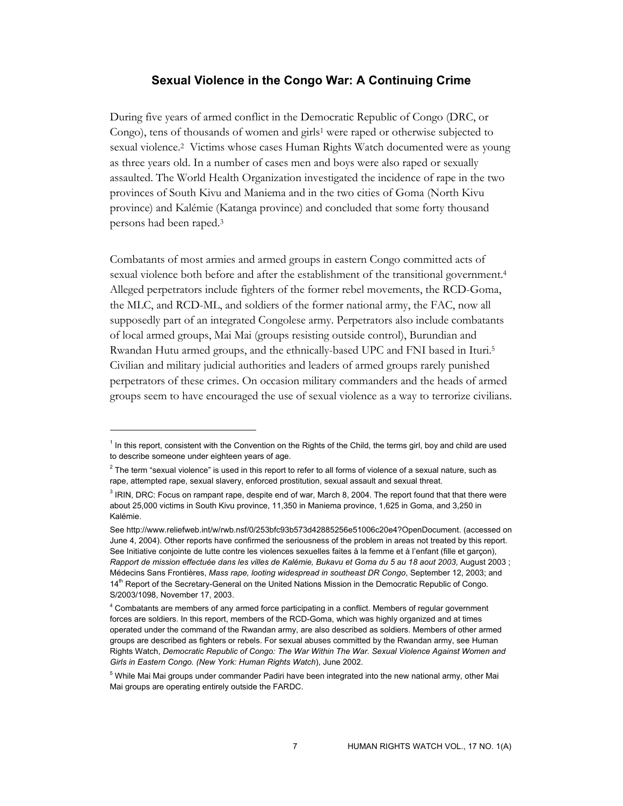### **Sexual Violence in the Congo War: A Continuing Crime**

During five years of armed conflict in the Democratic Republic of Congo (DRC, or Congo), tens of thousands of women and girls<sup>1</sup> were raped or otherwise subjected to sexual violence.2 Victims whose cases Human Rights Watch documented were as young as three years old. In a number of cases men and boys were also raped or sexually assaulted. The World Health Organization investigated the incidence of rape in the two provinces of South Kivu and Maniema and in the two cities of Goma (North Kivu province) and Kalémie (Katanga province) and concluded that some forty thousand persons had been raped.3

Combatants of most armies and armed groups in eastern Congo committed acts of sexual violence both before and after the establishment of the transitional government.4 Alleged perpetrators include fighters of the former rebel movements, the RCD-Goma, the MLC, and RCD-ML, and soldiers of the former national army, the FAC, now all supposedly part of an integrated Congolese army. Perpetrators also include combatants of local armed groups, Mai Mai (groups resisting outside control), Burundian and Rwandan Hutu armed groups, and the ethnically-based UPC and FNI based in Ituri.5 Civilian and military judicial authorities and leaders of armed groups rarely punished perpetrators of these crimes. On occasion military commanders and the heads of armed groups seem to have encouraged the use of sexual violence as a way to terrorize civilians.

<sup>&</sup>lt;sup>1</sup> In this report, consistent with the Convention on the Rights of the Child, the terms girl, boy and child are used to describe someone under eighteen years of age.

 $^2$  The term "sexual violence" is used in this report to refer to all forms of violence of a sexual nature, such as rape, attempted rape, sexual slavery, enforced prostitution, sexual assault and sexual threat.

<sup>&</sup>lt;sup>3</sup> IRIN, DRC: Focus on rampant rape, despite end of war, March 8, 2004. The report found that that there were about 25,000 victims in South Kivu province, 11,350 in Maniema province, 1,625 in Goma, and 3,250 in Kalémie.

See http://www.reliefweb.int/w/rwb.nsf/0/253bfc93b573d42885256e51006c20e4?OpenDocument. (accessed on June 4, 2004). Other reports have confirmed the seriousness of the problem in areas not treated by this report. See Initiative conjointe de lutte contre les violences sexuelles faites à la femme et à l'enfant (fille et garcon), *Rapport de mission effectuée dans les villes de Kalémie, Bukavu et Goma du 5 au 18 aout 2003*, August 2003 ; Médecins Sans Frontières, *Mass rape, looting widespread in southeast DR Congo*, September 12, 2003; and 14<sup>th</sup> Report of the Secretary-General on the United Nations Mission in the Democratic Republic of Congo. S/2003/1098, November 17, 2003.

<sup>4</sup> Combatants are members of any armed force participating in a conflict. Members of regular government forces are soldiers. In this report, members of the RCD-Goma, which was highly organized and at times operated under the command of the Rwandan army, are also described as soldiers. Members of other armed groups are described as fighters or rebels. For sexual abuses committed by the Rwandan army, see Human Rights Watch, *Democratic Republic of Congo: The War Within The War. Sexual Violence Against Women and Girls in Eastern Congo. (New York: Human Rights Watch*), June 2002.

 $^5$  While Mai Mai groups under commander Padiri have been integrated into the new national army, other Mai Mai groups are operating entirely outside the FARDC.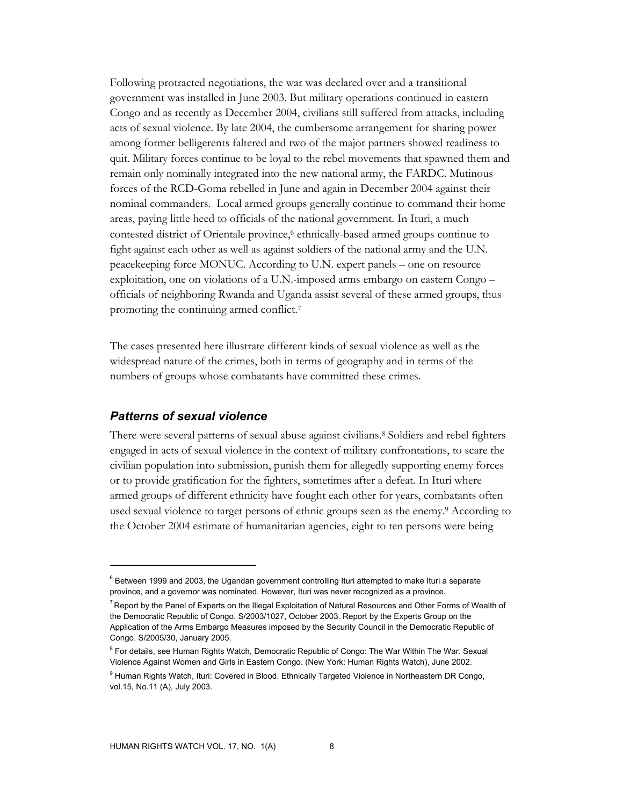Following protracted negotiations, the war was declared over and a transitional government was installed in June 2003. But military operations continued in eastern Congo and as recently as December 2004, civilians still suffered from attacks, including acts of sexual violence. By late 2004, the cumbersome arrangement for sharing power among former belligerents faltered and two of the major partners showed readiness to quit. Military forces continue to be loyal to the rebel movements that spawned them and remain only nominally integrated into the new national army, the FARDC. Mutinous forces of the RCD-Goma rebelled in June and again in December 2004 against their nominal commanders. Local armed groups generally continue to command their home areas, paying little heed to officials of the national government. In Ituri, a much contested district of Orientale province,<sup>6</sup> ethnically-based armed groups continue to fight against each other as well as against soldiers of the national army and the U.N. peacekeeping force MONUC. According to U.N. expert panels – one on resource exploitation, one on violations of a U.N.-imposed arms embargo on eastern Congo – officials of neighboring Rwanda and Uganda assist several of these armed groups, thus promoting the continuing armed conflict.7

The cases presented here illustrate different kinds of sexual violence as well as the widespread nature of the crimes, both in terms of geography and in terms of the numbers of groups whose combatants have committed these crimes.

### *Patterns of sexual violence*

 $\overline{a}$ 

There were several patterns of sexual abuse against civilians.<sup>8</sup> Soldiers and rebel fighters engaged in acts of sexual violence in the context of military confrontations, to scare the civilian population into submission, punish them for allegedly supporting enemy forces or to provide gratification for the fighters, sometimes after a defeat. In Ituri where armed groups of different ethnicity have fought each other for years, combatants often used sexual violence to target persons of ethnic groups seen as the enemy.9 According to the October 2004 estimate of humanitarian agencies, eight to ten persons were being

<sup>&</sup>lt;sup>6</sup> Between 1999 and 2003, the Ugandan government controlling Ituri attempted to make Ituri a separate province, and a governor was nominated. However, Ituri was never recognized as a province.

<sup>&</sup>lt;sup>7</sup> Report by the Panel of Experts on the Illegal Exploitation of Natural Resources and Other Forms of Wealth of the Democratic Republic of Congo. S/2003/1027, October 2003. Report by the Experts Group on the Application of the Arms Embargo Measures imposed by the Security Council in the Democratic Republic of Congo. S/2005/30, January 2005.

<sup>&</sup>lt;sup>8</sup> For details, see Human Rights Watch, Democratic Republic of Congo: The War Within The War. Sexual Violence Against Women and Girls in Eastern Congo. (New York: Human Rights Watch), June 2002.

<sup>&</sup>lt;sup>9</sup> Human Rights Watch, Ituri: Covered in Blood. Ethnically Targeted Violence in Northeastern DR Congo, vol.15, No.11 (A), July 2003.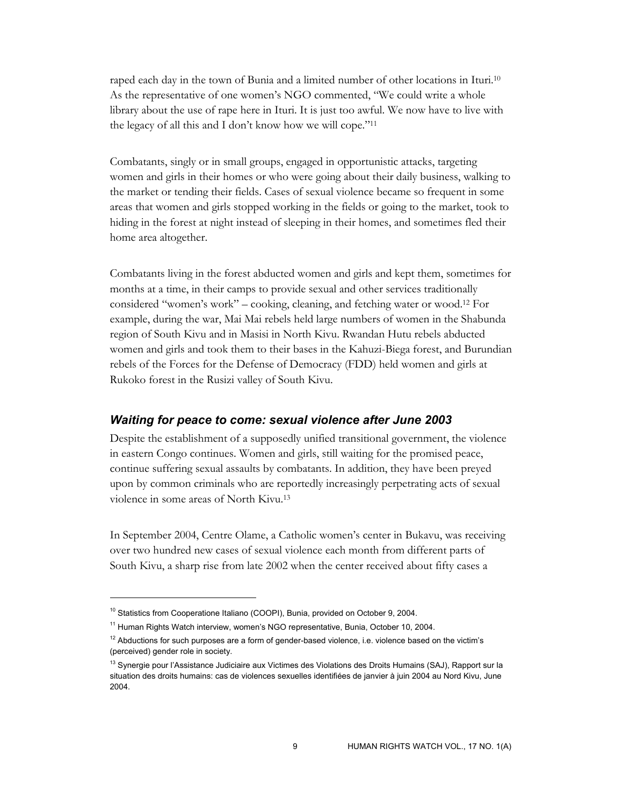raped each day in the town of Bunia and a limited number of other locations in Ituri.10 As the representative of one women's NGO commented, "We could write a whole library about the use of rape here in Ituri. It is just too awful. We now have to live with the legacy of all this and I don't know how we will cope."11

Combatants, singly or in small groups, engaged in opportunistic attacks, targeting women and girls in their homes or who were going about their daily business, walking to the market or tending their fields. Cases of sexual violence became so frequent in some areas that women and girls stopped working in the fields or going to the market, took to hiding in the forest at night instead of sleeping in their homes, and sometimes fled their home area altogether.

Combatants living in the forest abducted women and girls and kept them, sometimes for months at a time, in their camps to provide sexual and other services traditionally considered "women's work" – cooking, cleaning, and fetching water or wood.12 For example, during the war, Mai Mai rebels held large numbers of women in the Shabunda region of South Kivu and in Masisi in North Kivu. Rwandan Hutu rebels abducted women and girls and took them to their bases in the Kahuzi-Biega forest, and Burundian rebels of the Forces for the Defense of Democracy (FDD) held women and girls at Rukoko forest in the Rusizi valley of South Kivu.

#### *Waiting for peace to come: sexual violence after June 2003*

Despite the establishment of a supposedly unified transitional government, the violence in eastern Congo continues. Women and girls, still waiting for the promised peace, continue suffering sexual assaults by combatants. In addition, they have been preyed upon by common criminals who are reportedly increasingly perpetrating acts of sexual violence in some areas of North Kivu.13

In September 2004, Centre Olame, a Catholic women's center in Bukavu, was receiving over two hundred new cases of sexual violence each month from different parts of South Kivu, a sharp rise from late 2002 when the center received about fifty cases a

<sup>&</sup>lt;sup>10</sup> Statistics from Cooperatione Italiano (COOPI), Bunia, provided on October 9, 2004.

<sup>&</sup>lt;sup>11</sup> Human Rights Watch interview, women's NGO representative, Bunia, October 10, 2004.

 $12$  Abductions for such purposes are a form of gender-based violence, i.e. violence based on the victim's (perceived) gender role in society.

<sup>&</sup>lt;sup>13</sup> Synergie pour l'Assistance Judiciaire aux Victimes des Violations des Droits Humains (SAJ), Rapport sur la situation des droits humains: cas de violences sexuelles identifiées de janvier à juin 2004 au Nord Kivu, June 2004.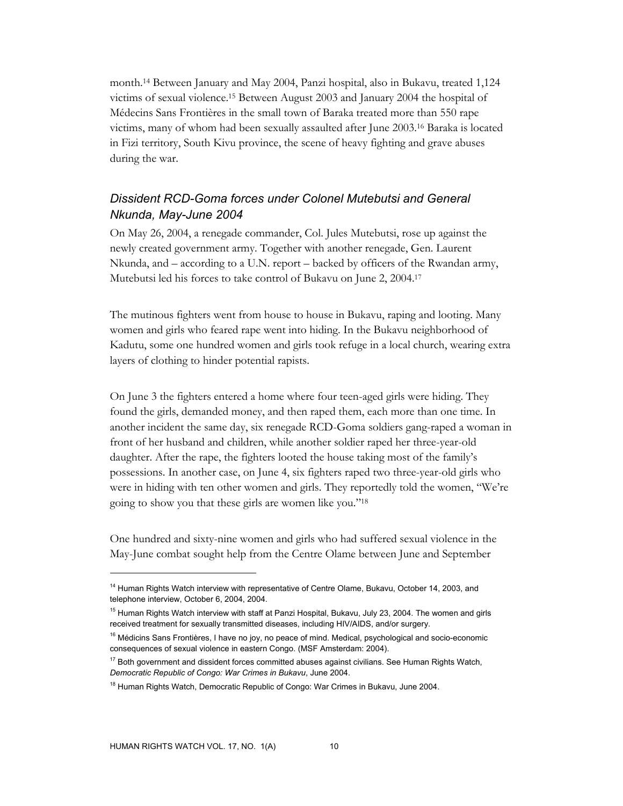month.14 Between January and May 2004, Panzi hospital, also in Bukavu, treated 1,124 victims of sexual violence.15 Between August 2003 and January 2004 the hospital of Médecins Sans Frontières in the small town of Baraka treated more than 550 rape victims, many of whom had been sexually assaulted after June 2003.16 Baraka is located in Fizi territory, South Kivu province, the scene of heavy fighting and grave abuses during the war.

# *Dissident RCD-Goma forces under Colonel Mutebutsi and General Nkunda, May-June 2004*

On May 26, 2004, a renegade commander, Col. Jules Mutebutsi, rose up against the newly created government army. Together with another renegade, Gen. Laurent Nkunda, and – according to a U.N. report – backed by officers of the Rwandan army, Mutebutsi led his forces to take control of Bukavu on June 2, 2004.17

The mutinous fighters went from house to house in Bukavu, raping and looting. Many women and girls who feared rape went into hiding. In the Bukavu neighborhood of Kadutu, some one hundred women and girls took refuge in a local church, wearing extra layers of clothing to hinder potential rapists.

On June 3 the fighters entered a home where four teen-aged girls were hiding. They found the girls, demanded money, and then raped them, each more than one time. In another incident the same day, six renegade RCD-Goma soldiers gang-raped a woman in front of her husband and children, while another soldier raped her three-year-old daughter. After the rape, the fighters looted the house taking most of the family's possessions. In another case, on June 4, six fighters raped two three-year-old girls who were in hiding with ten other women and girls. They reportedly told the women, "We're going to show you that these girls are women like you."18

One hundred and sixty-nine women and girls who had suffered sexual violence in the May-June combat sought help from the Centre Olame between June and September

<sup>&</sup>lt;sup>14</sup> Human Rights Watch interview with representative of Centre Olame, Bukavu, October 14, 2003, and telephone interview, October 6, 2004, 2004.

<sup>&</sup>lt;sup>15</sup> Human Rights Watch interview with staff at Panzi Hospital, Bukavu, July 23, 2004. The women and girls received treatment for sexually transmitted diseases, including HIV/AIDS, and/or surgery.

<sup>&</sup>lt;sup>16</sup> Médicins Sans Frontières, I have no joy, no peace of mind. Medical, psychological and socio-economic consequences of sexual violence in eastern Congo. (MSF Amsterdam: 2004).

 $17$  Both government and dissident forces committed abuses against civilians. See Human Rights Watch, *Democratic Republic of Congo: War Crimes in Bukavu*, June 2004.

<sup>&</sup>lt;sup>18</sup> Human Rights Watch, Democratic Republic of Congo: War Crimes in Bukavu, June 2004.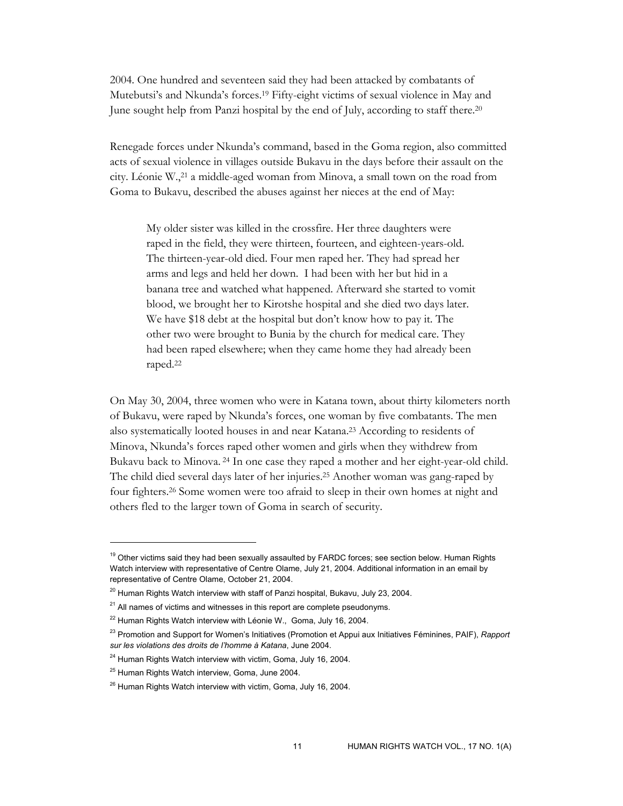2004. One hundred and seventeen said they had been attacked by combatants of Mutebutsi's and Nkunda's forces.19 Fifty-eight victims of sexual violence in May and June sought help from Panzi hospital by the end of July, according to staff there.20

Renegade forces under Nkunda's command, based in the Goma region, also committed acts of sexual violence in villages outside Bukavu in the days before their assault on the city. Léonie W.,21 a middle-aged woman from Minova, a small town on the road from Goma to Bukavu, described the abuses against her nieces at the end of May:

My older sister was killed in the crossfire. Her three daughters were raped in the field, they were thirteen, fourteen, and eighteen-years-old. The thirteen-year-old died. Four men raped her. They had spread her arms and legs and held her down. I had been with her but hid in a banana tree and watched what happened. Afterward she started to vomit blood, we brought her to Kirotshe hospital and she died two days later. We have \$18 debt at the hospital but don't know how to pay it. The other two were brought to Bunia by the church for medical care. They had been raped elsewhere; when they came home they had already been raped.22

On May 30, 2004, three women who were in Katana town, about thirty kilometers north of Bukavu, were raped by Nkunda's forces, one woman by five combatants. The men also systematically looted houses in and near Katana.23 According to residents of Minova, Nkunda's forces raped other women and girls when they withdrew from Bukavu back to Minova. 24 In one case they raped a mother and her eight-year-old child. The child died several days later of her injuries.25 Another woman was gang-raped by four fighters.26 Some women were too afraid to sleep in their own homes at night and others fled to the larger town of Goma in search of security.

<sup>&</sup>lt;sup>19</sup> Other victims said they had been sexually assaulted by FARDC forces; see section below. Human Rights Watch interview with representative of Centre Olame, July 21, 2004. Additional information in an email by representative of Centre Olame, October 21, 2004.

 $20$  Human Rights Watch interview with staff of Panzi hospital, Bukavu, July 23, 2004.

 $21$  All names of victims and witnesses in this report are complete pseudonyms.

 $22$  Human Rights Watch interview with Léonie W., Goma, July 16, 2004.

<sup>23</sup> Promotion and Support for Women's Initiatives (Promotion et Appui aux Initiatives Féminines, PAIF), *Rapport sur les violations des droits de l'homme à Katana*, June 2004.

 $24$  Human Rights Watch interview with victim, Goma, July 16, 2004.

<sup>&</sup>lt;sup>25</sup> Human Rights Watch interview, Goma, June 2004.

<sup>&</sup>lt;sup>26</sup> Human Rights Watch interview with victim, Goma, July 16, 2004.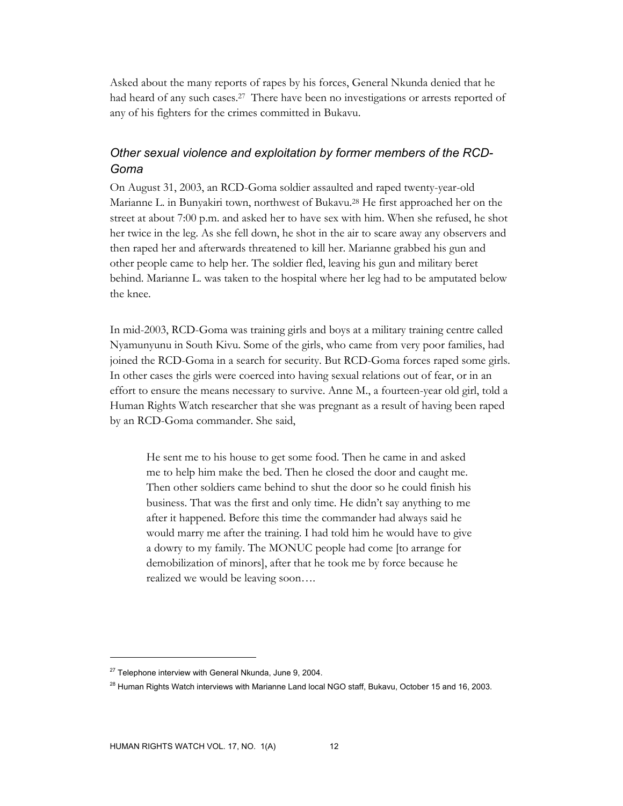Asked about the many reports of rapes by his forces, General Nkunda denied that he had heard of any such cases.<sup>27</sup> There have been no investigations or arrests reported of any of his fighters for the crimes committed in Bukavu.

# *Other sexual violence and exploitation by former members of the RCD-Goma*

On August 31, 2003, an RCD-Goma soldier assaulted and raped twenty-year-old Marianne L. in Bunyakiri town, northwest of Bukavu.28 He first approached her on the street at about 7:00 p.m. and asked her to have sex with him. When she refused, he shot her twice in the leg. As she fell down, he shot in the air to scare away any observers and then raped her and afterwards threatened to kill her. Marianne grabbed his gun and other people came to help her. The soldier fled, leaving his gun and military beret behind. Marianne L. was taken to the hospital where her leg had to be amputated below the knee.

In mid-2003, RCD-Goma was training girls and boys at a military training centre called Nyamunyunu in South Kivu. Some of the girls, who came from very poor families, had joined the RCD-Goma in a search for security. But RCD-Goma forces raped some girls. In other cases the girls were coerced into having sexual relations out of fear, or in an effort to ensure the means necessary to survive. Anne M., a fourteen-year old girl, told a Human Rights Watch researcher that she was pregnant as a result of having been raped by an RCD-Goma commander. She said,

He sent me to his house to get some food. Then he came in and asked me to help him make the bed. Then he closed the door and caught me. Then other soldiers came behind to shut the door so he could finish his business. That was the first and only time. He didn't say anything to me after it happened. Before this time the commander had always said he would marry me after the training. I had told him he would have to give a dowry to my family. The MONUC people had come [to arrange for demobilization of minors], after that he took me by force because he realized we would be leaving soon….

 $27$  Telephone interview with General Nkunda, June 9, 2004.

 $^{28}$  Human Rights Watch interviews with Marianne Land local NGO staff, Bukavu, October 15 and 16, 2003.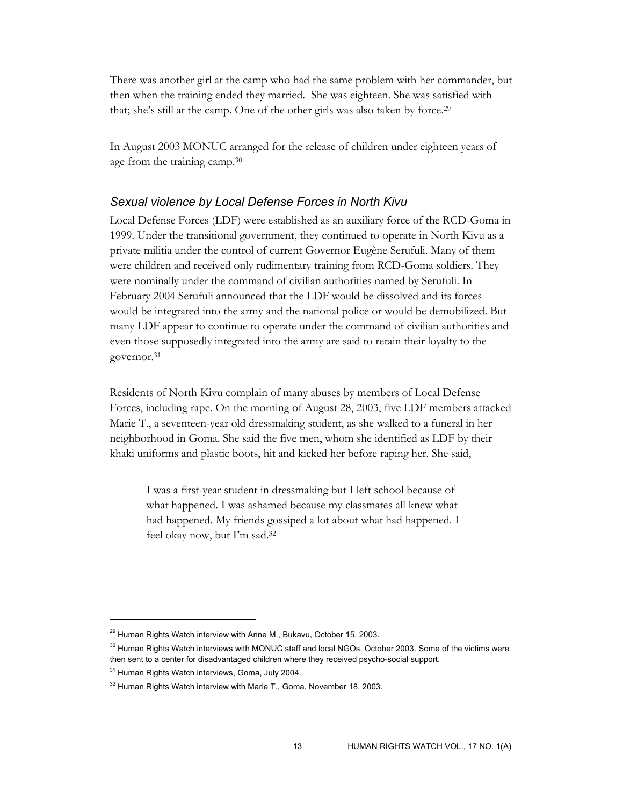There was another girl at the camp who had the same problem with her commander, but then when the training ended they married. She was eighteen. She was satisfied with that; she's still at the camp. One of the other girls was also taken by force.29

In August 2003 MONUC arranged for the release of children under eighteen years of age from the training camp.30

### *Sexual violence by Local Defense Forces in North Kivu*

Local Defense Forces (LDF) were established as an auxiliary force of the RCD-Goma in 1999. Under the transitional government, they continued to operate in North Kivu as a private militia under the control of current Governor Eugène Serufuli. Many of them were children and received only rudimentary training from RCD-Goma soldiers. They were nominally under the command of civilian authorities named by Serufuli. In February 2004 Serufuli announced that the LDF would be dissolved and its forces would be integrated into the army and the national police or would be demobilized. But many LDF appear to continue to operate under the command of civilian authorities and even those supposedly integrated into the army are said to retain their loyalty to the governor.31

Residents of North Kivu complain of many abuses by members of Local Defense Forces, including rape. On the morning of August 28, 2003, five LDF members attacked Marie T., a seventeen-year old dressmaking student, as she walked to a funeral in her neighborhood in Goma. She said the five men, whom she identified as LDF by their khaki uniforms and plastic boots, hit and kicked her before raping her. She said,

I was a first-year student in dressmaking but I left school because of what happened. I was ashamed because my classmates all knew what had happened. My friends gossiped a lot about what had happened. I feel okay now, but I'm sad.32

 $29$  Human Rights Watch interview with Anne M., Bukavu, October 15, 2003.

<sup>&</sup>lt;sup>30</sup> Human Rights Watch interviews with MONUC staff and local NGOs, October 2003. Some of the victims were then sent to a center for disadvantaged children where they received psycho-social support.

<sup>&</sup>lt;sup>31</sup> Human Rights Watch interviews, Goma, July 2004.

<sup>&</sup>lt;sup>32</sup> Human Rights Watch interview with Marie T., Goma, November 18, 2003.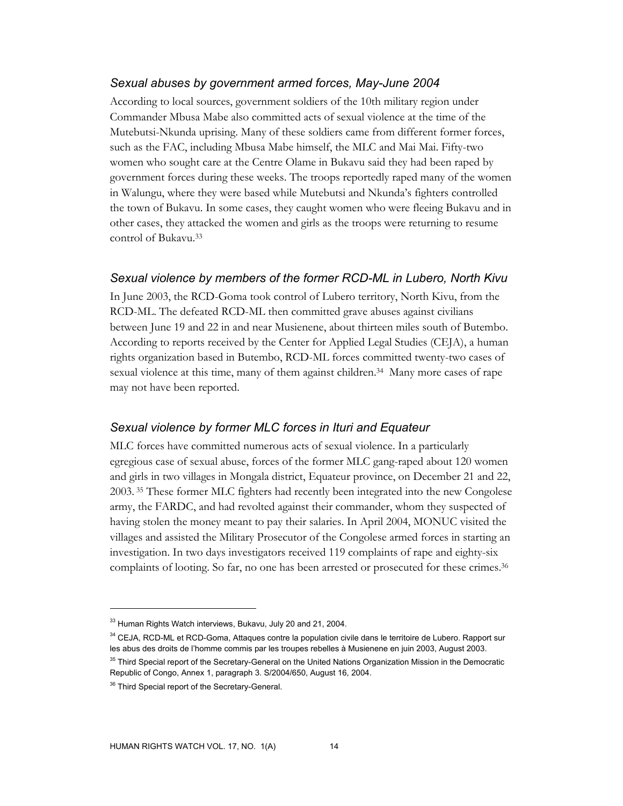#### *Sexual abuses by government armed forces, May-June 2004*

According to local sources, government soldiers of the 10th military region under Commander Mbusa Mabe also committed acts of sexual violence at the time of the Mutebutsi-Nkunda uprising. Many of these soldiers came from different former forces, such as the FAC, including Mbusa Mabe himself, the MLC and Mai Mai. Fifty-two women who sought care at the Centre Olame in Bukavu said they had been raped by government forces during these weeks. The troops reportedly raped many of the women in Walungu, where they were based while Mutebutsi and Nkunda's fighters controlled the town of Bukavu. In some cases, they caught women who were fleeing Bukavu and in other cases, they attacked the women and girls as the troops were returning to resume control of Bukavu.33

### *Sexual violence by members of the former RCD-ML in Lubero, North Kivu*

In June 2003, the RCD-Goma took control of Lubero territory, North Kivu, from the RCD-ML. The defeated RCD-ML then committed grave abuses against civilians between June 19 and 22 in and near Musienene, about thirteen miles south of Butembo. According to reports received by the Center for Applied Legal Studies (CEJA), a human rights organization based in Butembo, RCD-ML forces committed twenty-two cases of sexual violence at this time, many of them against children.34 Many more cases of rape may not have been reported.

### *Sexual violence by former MLC forces in Ituri and Equateur*

MLC forces have committed numerous acts of sexual violence. In a particularly egregious case of sexual abuse, forces of the former MLC gang-raped about 120 women and girls in two villages in Mongala district, Equateur province, on December 21 and 22, 2003. 35 These former MLC fighters had recently been integrated into the new Congolese army, the FARDC, and had revolted against their commander, whom they suspected of having stolen the money meant to pay their salaries. In April 2004, MONUC visited the villages and assisted the Military Prosecutor of the Congolese armed forces in starting an investigation. In two days investigators received 119 complaints of rape and eighty-six complaints of looting. So far, no one has been arrested or prosecuted for these crimes.<sup>36</sup>

<sup>&</sup>lt;sup>33</sup> Human Rights Watch interviews, Bukavu, July 20 and 21, 2004.

<sup>&</sup>lt;sup>34</sup> CEJA, RCD-ML et RCD-Goma, Attaques contre la population civile dans le territoire de Lubero. Rapport sur les abus des droits de l'homme commis par les troupes rebelles à Musienene en juin 2003, August 2003.

<sup>&</sup>lt;sup>35</sup> Third Special report of the Secretary-General on the United Nations Organization Mission in the Democratic Republic of Congo, Annex 1, paragraph 3. S/2004/650, August 16, 2004.

<sup>&</sup>lt;sup>36</sup> Third Special report of the Secretary-General.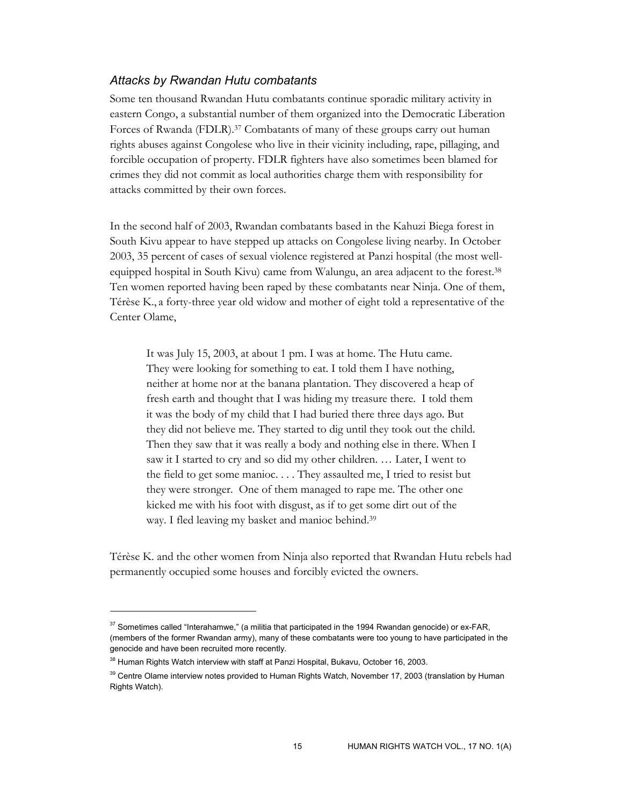### *Attacks by Rwandan Hutu combatants*

Some ten thousand Rwandan Hutu combatants continue sporadic military activity in eastern Congo, a substantial number of them organized into the Democratic Liberation Forces of Rwanda (FDLR).<sup>37</sup> Combatants of many of these groups carry out human rights abuses against Congolese who live in their vicinity including, rape, pillaging, and forcible occupation of property. FDLR fighters have also sometimes been blamed for crimes they did not commit as local authorities charge them with responsibility for attacks committed by their own forces.

In the second half of 2003, Rwandan combatants based in the Kahuzi Biega forest in South Kivu appear to have stepped up attacks on Congolese living nearby. In October 2003, 35 percent of cases of sexual violence registered at Panzi hospital (the most wellequipped hospital in South Kivu) came from Walungu, an area adjacent to the forest.38 Ten women reported having been raped by these combatants near Ninja. One of them, Térèse K., a forty-three year old widow and mother of eight told a representative of the Center Olame,

It was July 15, 2003, at about 1 pm. I was at home. The Hutu came. They were looking for something to eat. I told them I have nothing, neither at home nor at the banana plantation. They discovered a heap of fresh earth and thought that I was hiding my treasure there. I told them it was the body of my child that I had buried there three days ago. But they did not believe me. They started to dig until they took out the child. Then they saw that it was really a body and nothing else in there. When I saw it I started to cry and so did my other children. … Later, I went to the field to get some manioc. . . . They assaulted me, I tried to resist but they were stronger. One of them managed to rape me. The other one kicked me with his foot with disgust, as if to get some dirt out of the way. I fled leaving my basket and manioc behind.<sup>39</sup>

Térèse K. and the other women from Ninja also reported that Rwandan Hutu rebels had permanently occupied some houses and forcibly evicted the owners.

 $37$  Sometimes called "Interahamwe," (a militia that participated in the 1994 Rwandan genocide) or ex-FAR, (members of the former Rwandan army), many of these combatants were too young to have participated in the genocide and have been recruited more recently.

<sup>&</sup>lt;sup>38</sup> Human Rights Watch interview with staff at Panzi Hospital, Bukavu, October 16, 2003.

<sup>&</sup>lt;sup>39</sup> Centre Olame interview notes provided to Human Rights Watch, November 17, 2003 (translation by Human Rights Watch).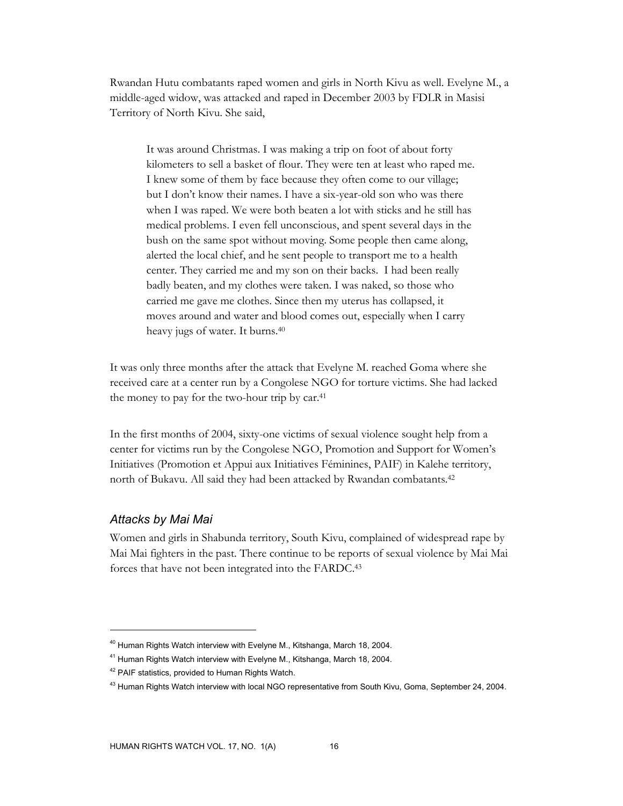Rwandan Hutu combatants raped women and girls in North Kivu as well. Evelyne M., a middle-aged widow, was attacked and raped in December 2003 by FDLR in Masisi Territory of North Kivu. She said,

It was around Christmas. I was making a trip on foot of about forty kilometers to sell a basket of flour. They were ten at least who raped me. I knew some of them by face because they often come to our village; but I don't know their names. I have a six-year-old son who was there when I was raped. We were both beaten a lot with sticks and he still has medical problems. I even fell unconscious, and spent several days in the bush on the same spot without moving. Some people then came along, alerted the local chief, and he sent people to transport me to a health center. They carried me and my son on their backs. I had been really badly beaten, and my clothes were taken. I was naked, so those who carried me gave me clothes. Since then my uterus has collapsed, it moves around and water and blood comes out, especially when I carry heavy jugs of water. It burns.40

It was only three months after the attack that Evelyne M. reached Goma where she received care at a center run by a Congolese NGO for torture victims. She had lacked the money to pay for the two-hour trip by car.41

In the first months of 2004, sixty-one victims of sexual violence sought help from a center for victims run by the Congolese NGO, Promotion and Support for Women's Initiatives (Promotion et Appui aux Initiatives Féminines, PAIF) in Kalehe territory, north of Bukavu. All said they had been attacked by Rwandan combatants.42

### *Attacks by Mai Mai*

-

Women and girls in Shabunda territory, South Kivu, complained of widespread rape by Mai Mai fighters in the past. There continue to be reports of sexual violence by Mai Mai forces that have not been integrated into the FARDC.43

<sup>&</sup>lt;sup>40</sup> Human Rights Watch interview with Evelyne M., Kitshanga, March 18, 2004.

<sup>&</sup>lt;sup>41</sup> Human Rights Watch interview with Evelyne M., Kitshanga, March 18, 2004.

<sup>&</sup>lt;sup>42</sup> PAIF statistics, provided to Human Rights Watch.

<sup>43</sup> Human Rights Watch interview with local NGO representative from South Kivu, Goma, September 24, 2004.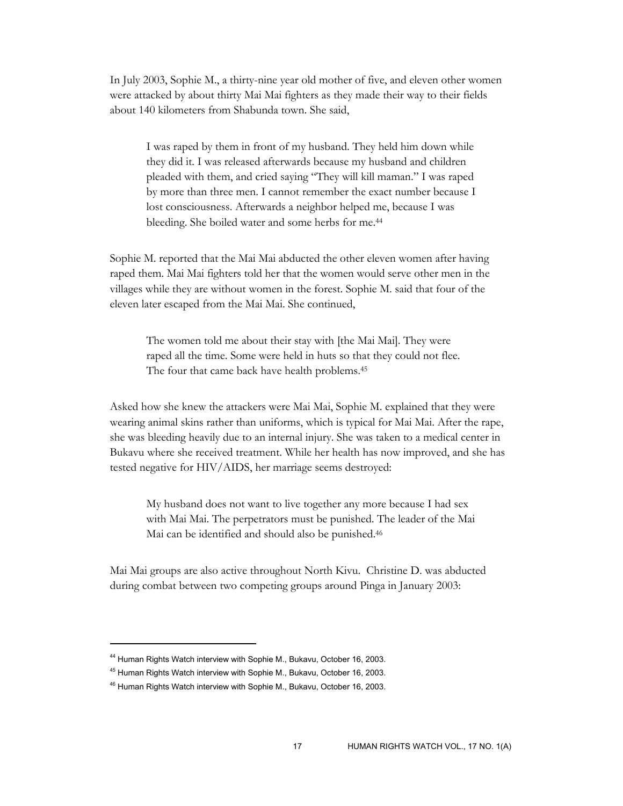In July 2003, Sophie M., a thirty-nine year old mother of five, and eleven other women were attacked by about thirty Mai Mai fighters as they made their way to their fields about 140 kilometers from Shabunda town. She said,

I was raped by them in front of my husband. They held him down while they did it. I was released afterwards because my husband and children pleaded with them, and cried saying "They will kill maman." I was raped by more than three men. I cannot remember the exact number because I lost consciousness. Afterwards a neighbor helped me, because I was bleeding. She boiled water and some herbs for me.44

Sophie M. reported that the Mai Mai abducted the other eleven women after having raped them. Mai Mai fighters told her that the women would serve other men in the villages while they are without women in the forest. Sophie M. said that four of the eleven later escaped from the Mai Mai. She continued,

The women told me about their stay with [the Mai Mai]. They were raped all the time. Some were held in huts so that they could not flee. The four that came back have health problems.<sup>45</sup>

Asked how she knew the attackers were Mai Mai, Sophie M. explained that they were wearing animal skins rather than uniforms, which is typical for Mai Mai. After the rape, she was bleeding heavily due to an internal injury. She was taken to a medical center in Bukavu where she received treatment. While her health has now improved, and she has tested negative for HIV/AIDS, her marriage seems destroyed:

My husband does not want to live together any more because I had sex with Mai Mai. The perpetrators must be punished. The leader of the Mai Mai can be identified and should also be punished.46

Mai Mai groups are also active throughout North Kivu. Christine D. was abducted during combat between two competing groups around Pinga in January 2003:

<sup>&</sup>lt;sup>44</sup> Human Rights Watch interview with Sophie M., Bukavu, October 16, 2003.

<sup>45</sup> Human Rights Watch interview with Sophie M., Bukavu, October 16, 2003.

<sup>46</sup> Human Rights Watch interview with Sophie M., Bukavu, October 16, 2003.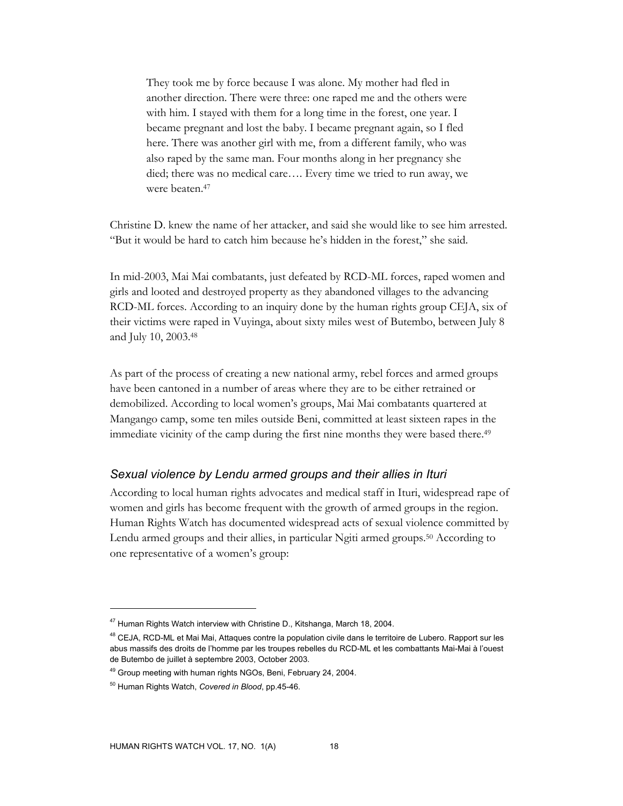They took me by force because I was alone. My mother had fled in another direction. There were three: one raped me and the others were with him. I stayed with them for a long time in the forest, one year. I became pregnant and lost the baby. I became pregnant again, so I fled here. There was another girl with me, from a different family, who was also raped by the same man. Four months along in her pregnancy she died; there was no medical care…. Every time we tried to run away, we were beaten.47

Christine D. knew the name of her attacker, and said she would like to see him arrested. "But it would be hard to catch him because he's hidden in the forest," she said.

In mid-2003, Mai Mai combatants, just defeated by RCD-ML forces, raped women and girls and looted and destroyed property as they abandoned villages to the advancing RCD-ML forces. According to an inquiry done by the human rights group CEJA, six of their victims were raped in Vuyinga, about sixty miles west of Butembo, between July 8 and July 10, 2003.48

As part of the process of creating a new national army, rebel forces and armed groups have been cantoned in a number of areas where they are to be either retrained or demobilized. According to local women's groups, Mai Mai combatants quartered at Mangango camp, some ten miles outside Beni, committed at least sixteen rapes in the immediate vicinity of the camp during the first nine months they were based there.49

### *Sexual violence by Lendu armed groups and their allies in Ituri*

According to local human rights advocates and medical staff in Ituri, widespread rape of women and girls has become frequent with the growth of armed groups in the region. Human Rights Watch has documented widespread acts of sexual violence committed by Lendu armed groups and their allies, in particular Ngiti armed groups.50 According to one representative of a women's group:

<sup>&</sup>lt;sup>47</sup> Human Rights Watch interview with Christine D., Kitshanga, March 18, 2004.

<sup>&</sup>lt;sup>48</sup> CEJA, RCD-ML et Mai Mai, Attaques contre la population civile dans le territoire de Lubero. Rapport sur les abus massifs des droits de l'homme par les troupes rebelles du RCD-ML et les combattants Mai-Mai à l'ouest de Butembo de juillet à septembre 2003, October 2003.

<sup>&</sup>lt;sup>49</sup> Group meeting with human rights NGOs, Beni, February 24, 2004.

<sup>50</sup> Human Rights Watch, *Covered in Blood*, pp.45-46.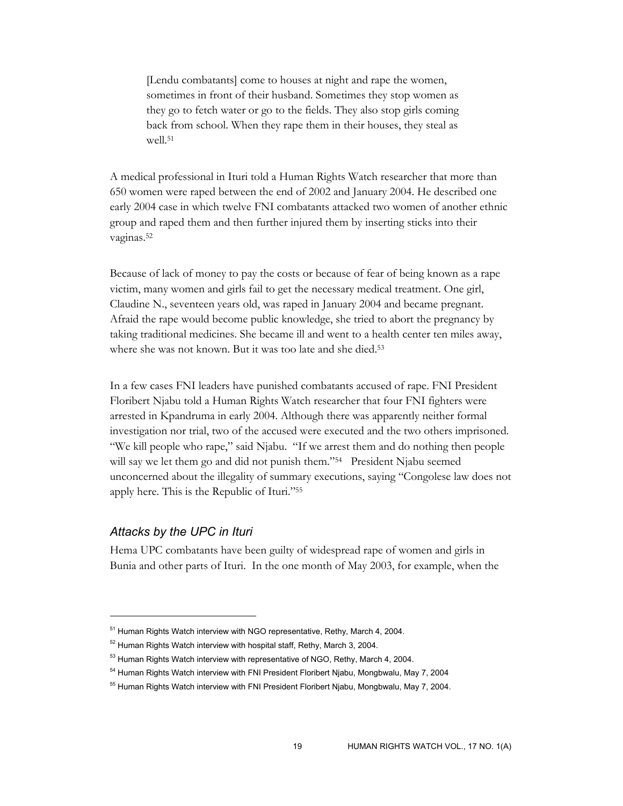[Lendu combatants] come to houses at night and rape the women, sometimes in front of their husband. Sometimes they stop women as they go to fetch water or go to the fields. They also stop girls coming back from school. When they rape them in their houses, they steal as well.51

A medical professional in Ituri told a Human Rights Watch researcher that more than 650 women were raped between the end of 2002 and January 2004. He described one early 2004 case in which twelve FNI combatants attacked two women of another ethnic group and raped them and then further injured them by inserting sticks into their vaginas.52

Because of lack of money to pay the costs or because of fear of being known as a rape victim, many women and girls fail to get the necessary medical treatment. One girl, Claudine N., seventeen years old, was raped in January 2004 and became pregnant. Afraid the rape would become public knowledge, she tried to abort the pregnancy by taking traditional medicines. She became ill and went to a health center ten miles away, where she was not known. But it was too late and she died.<sup>53</sup>

In a few cases FNI leaders have punished combatants accused of rape. FNI President Floribert Njabu told a Human Rights Watch researcher that four FNI fighters were arrested in Kpandruma in early 2004. Although there was apparently neither formal investigation nor trial, two of the accused were executed and the two others imprisoned. "We kill people who rape," said Njabu. "If we arrest them and do nothing then people will say we let them go and did not punish them."<sup>54</sup> President Njabu seemed unconcerned about the illegality of summary executions, saying "Congolese law does not apply here. This is the Republic of Ituri."55

### *Attacks by the UPC in Ituri*

 $\overline{a}$ 

Hema UPC combatants have been guilty of widespread rape of women and girls in Bunia and other parts of Ituri. In the one month of May 2003, for example, when the

<sup>&</sup>lt;sup>51</sup> Human Rights Watch interview with NGO representative, Rethy, March 4, 2004.

<sup>52</sup> Human Rights Watch interview with hospital staff, Rethy, March 3, 2004.

 $53$  Human Rights Watch interview with representative of NGO, Rethy, March 4, 2004.

<sup>&</sup>lt;sup>54</sup> Human Rights Watch interview with FNI President Floribert Njabu, Mongbwalu, May 7, 2004

<sup>&</sup>lt;sup>55</sup> Human Rights Watch interview with FNI President Floribert Njabu, Mongbwalu, May 7, 2004.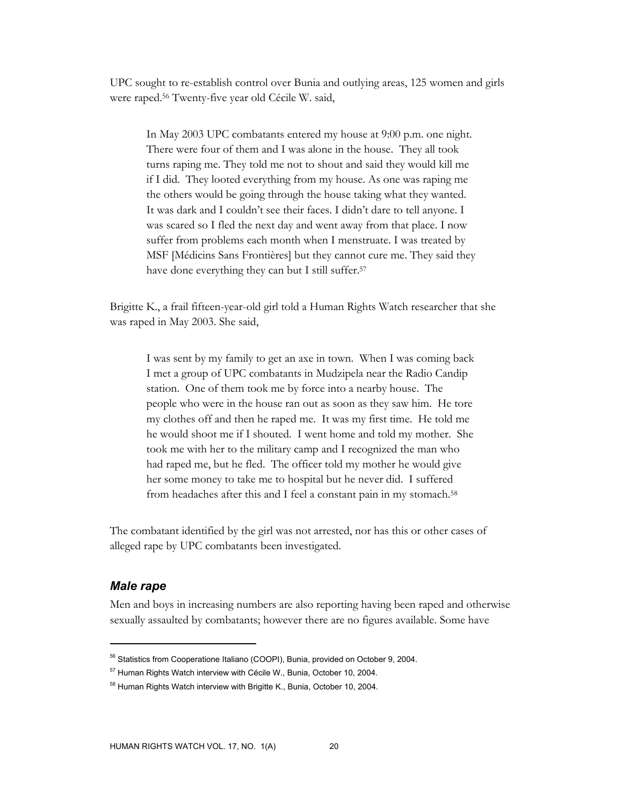UPC sought to re-establish control over Bunia and outlying areas, 125 women and girls were raped.56 Twenty-five year old Cécile W. said,

In May 2003 UPC combatants entered my house at 9:00 p.m. one night. There were four of them and I was alone in the house. They all took turns raping me. They told me not to shout and said they would kill me if I did. They looted everything from my house. As one was raping me the others would be going through the house taking what they wanted. It was dark and I couldn't see their faces. I didn't dare to tell anyone. I was scared so I fled the next day and went away from that place. I now suffer from problems each month when I menstruate. I was treated by MSF [Médicins Sans Frontières] but they cannot cure me. They said they have done everything they can but I still suffer.<sup>57</sup>

Brigitte K., a frail fifteen-year-old girl told a Human Rights Watch researcher that she was raped in May 2003. She said,

I was sent by my family to get an axe in town. When I was coming back I met a group of UPC combatants in Mudzipela near the Radio Candip station. One of them took me by force into a nearby house. The people who were in the house ran out as soon as they saw him. He tore my clothes off and then he raped me. It was my first time. He told me he would shoot me if I shouted. I went home and told my mother. She took me with her to the military camp and I recognized the man who had raped me, but he fled. The officer told my mother he would give her some money to take me to hospital but he never did. I suffered from headaches after this and I feel a constant pain in my stomach.58

The combatant identified by the girl was not arrested, nor has this or other cases of alleged rape by UPC combatants been investigated.

### *Male rape*

 $\overline{a}$ 

Men and boys in increasing numbers are also reporting having been raped and otherwise sexually assaulted by combatants; however there are no figures available. Some have

<sup>&</sup>lt;sup>56</sup> Statistics from Cooperatione Italiano (COOPI), Bunia, provided on October 9, 2004.

<sup>57</sup> Human Rights Watch interview with Cécile W., Bunia, October 10, 2004.

<sup>&</sup>lt;sup>58</sup> Human Rights Watch interview with Brigitte K., Bunia, October 10, 2004.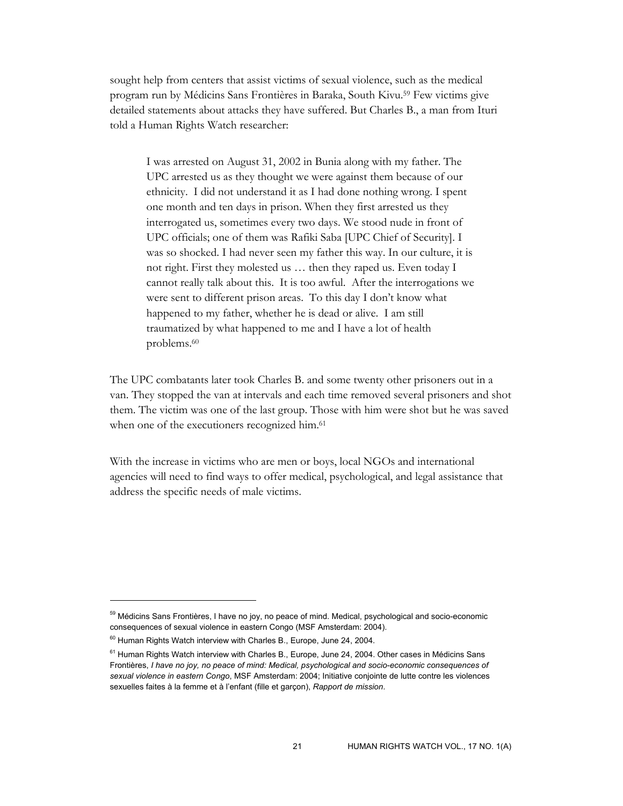sought help from centers that assist victims of sexual violence, such as the medical program run by Médicins Sans Frontières in Baraka, South Kivu.59 Few victims give detailed statements about attacks they have suffered. But Charles B., a man from Ituri told a Human Rights Watch researcher:

I was arrested on August 31, 2002 in Bunia along with my father. The UPC arrested us as they thought we were against them because of our ethnicity. I did not understand it as I had done nothing wrong. I spent one month and ten days in prison. When they first arrested us they interrogated us, sometimes every two days. We stood nude in front of UPC officials; one of them was Rafiki Saba [UPC Chief of Security]. I was so shocked. I had never seen my father this way. In our culture, it is not right. First they molested us … then they raped us. Even today I cannot really talk about this. It is too awful. After the interrogations we were sent to different prison areas. To this day I don't know what happened to my father, whether he is dead or alive. I am still traumatized by what happened to me and I have a lot of health problems.60

The UPC combatants later took Charles B. and some twenty other prisoners out in a van. They stopped the van at intervals and each time removed several prisoners and shot them. The victim was one of the last group. Those with him were shot but he was saved when one of the executioners recognized him.<sup>61</sup>

With the increase in victims who are men or boys, local NGOs and international agencies will need to find ways to offer medical, psychological, and legal assistance that address the specific needs of male victims.

<sup>&</sup>lt;sup>59</sup> Médicins Sans Frontières, I have no joy, no peace of mind. Medical, psychological and socio-economic consequences of sexual violence in eastern Congo (MSF Amsterdam: 2004).

 $60$  Human Rights Watch interview with Charles B., Europe, June 24, 2004.

<sup>&</sup>lt;sup>61</sup> Human Rights Watch interview with Charles B., Europe, June 24, 2004. Other cases in Médicins Sans Frontières, *I have no joy, no peace of mind: Medical, psychological and socio-economic consequences of sexual violence in eastern Congo*, MSF Amsterdam: 2004; Initiative conjointe de lutte contre les violences sexuelles faites à la femme et à l'enfant (fille et garçon), *Rapport de mission*.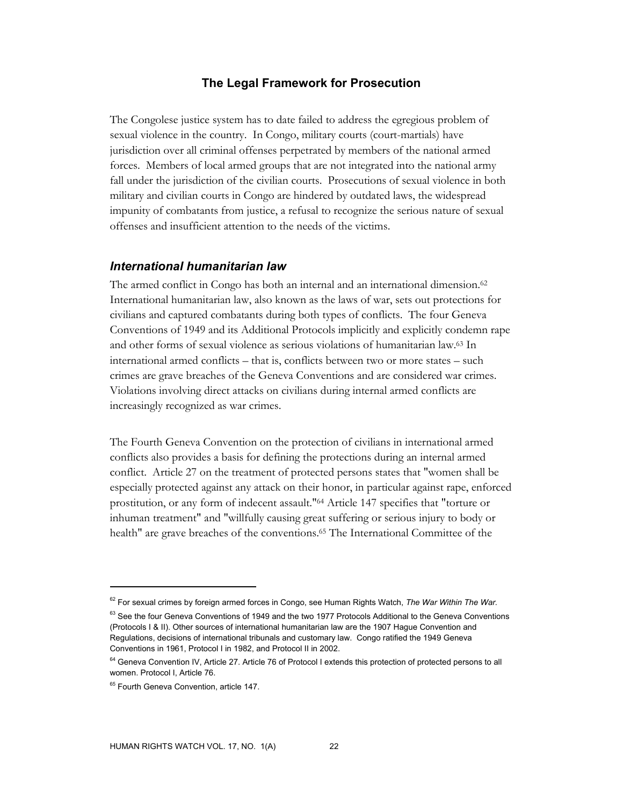### **The Legal Framework for Prosecution**

The Congolese justice system has to date failed to address the egregious problem of sexual violence in the country. In Congo, military courts (court-martials) have jurisdiction over all criminal offenses perpetrated by members of the national armed forces. Members of local armed groups that are not integrated into the national army fall under the jurisdiction of the civilian courts. Prosecutions of sexual violence in both military and civilian courts in Congo are hindered by outdated laws, the widespread impunity of combatants from justice, a refusal to recognize the serious nature of sexual offenses and insufficient attention to the needs of the victims.

### *International humanitarian law*

The armed conflict in Congo has both an internal and an international dimension.<sup>62</sup> International humanitarian law, also known as the laws of war, sets out protections for civilians and captured combatants during both types of conflicts. The four Geneva Conventions of 1949 and its Additional Protocols implicitly and explicitly condemn rape and other forms of sexual violence as serious violations of humanitarian law.63 In international armed conflicts – that is, conflicts between two or more states – such crimes are grave breaches of the Geneva Conventions and are considered war crimes. Violations involving direct attacks on civilians during internal armed conflicts are increasingly recognized as war crimes.

The Fourth Geneva Convention on the protection of civilians in international armed conflicts also provides a basis for defining the protections during an internal armed conflict. Article 27 on the treatment of protected persons states that "women shall be especially protected against any attack on their honor, in particular against rape, enforced prostitution, or any form of indecent assault."64 Article 147 specifies that "torture or inhuman treatment" and "willfully causing great suffering or serious injury to body or health" are grave breaches of the conventions.65 The International Committee of the

<sup>62</sup> For sexual crimes by foreign armed forces in Congo, see Human Rights Watch, *The War Within The War.*

<sup>&</sup>lt;sup>63</sup> See the four Geneva Conventions of 1949 and the two 1977 Protocols Additional to the Geneva Conventions (Protocols I & II). Other sources of international humanitarian law are the 1907 Hague Convention and Regulations, decisions of international tribunals and customary law. Congo ratified the 1949 Geneva Conventions in 1961, Protocol I in 1982, and Protocol II in 2002.

<sup>&</sup>lt;sup>64</sup> Geneva Convention IV, Article 27. Article 76 of Protocol I extends this protection of protected persons to all women. Protocol I, Article 76.

<sup>&</sup>lt;sup>65</sup> Fourth Geneva Convention, article 147.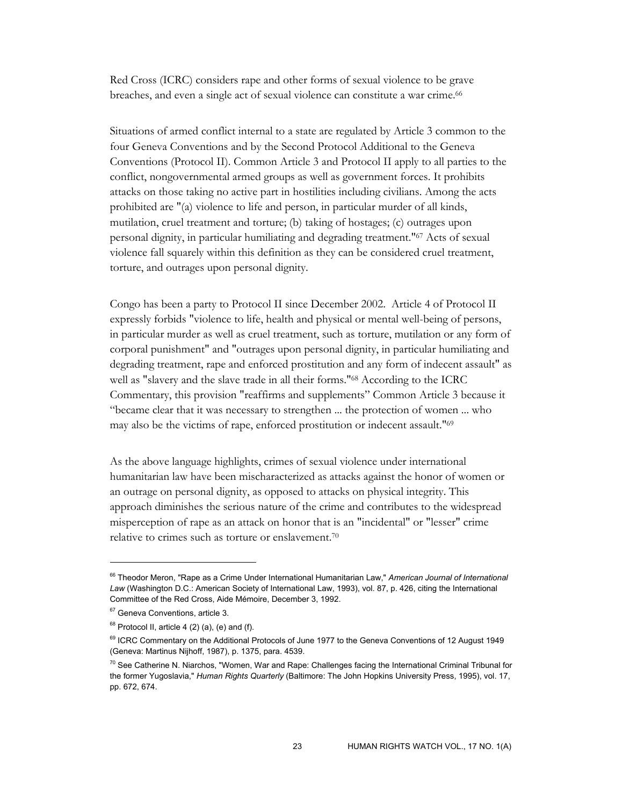Red Cross (ICRC) considers rape and other forms of sexual violence to be grave breaches, and even a single act of sexual violence can constitute a war crime.<sup>66</sup>

Situations of armed conflict internal to a state are regulated by Article 3 common to the four Geneva Conventions and by the Second Protocol Additional to the Geneva Conventions (Protocol II). Common Article 3 and Protocol II apply to all parties to the conflict, nongovernmental armed groups as well as government forces. It prohibits attacks on those taking no active part in hostilities including civilians. Among the acts prohibited are "(a) violence to life and person, in particular murder of all kinds, mutilation, cruel treatment and torture; (b) taking of hostages; (c) outrages upon personal dignity, in particular humiliating and degrading treatment."67 Acts of sexual violence fall squarely within this definition as they can be considered cruel treatment, torture, and outrages upon personal dignity.

Congo has been a party to Protocol II since December 2002. Article 4 of Protocol II expressly forbids "violence to life, health and physical or mental well-being of persons, in particular murder as well as cruel treatment, such as torture, mutilation or any form of corporal punishment" and "outrages upon personal dignity, in particular humiliating and degrading treatment, rape and enforced prostitution and any form of indecent assault" as well as "slavery and the slave trade in all their forms."68 According to the ICRC Commentary, this provision "reaffirms and supplements" Common Article 3 because it "became clear that it was necessary to strengthen ... the protection of women ... who may also be the victims of rape, enforced prostitution or indecent assault."69

As the above language highlights, crimes of sexual violence under international humanitarian law have been mischaracterized as attacks against the honor of women or an outrage on personal dignity, as opposed to attacks on physical integrity. This approach diminishes the serious nature of the crime and contributes to the widespread misperception of rape as an attack on honor that is an "incidental" or "lesser" crime relative to crimes such as torture or enslavement.70

<sup>66</sup> Theodor Meron, "Rape as a Crime Under International Humanitarian Law," *American Journal of International Law* (Washington D.C.: American Society of International Law, 1993), vol. 87, p. 426, citing the International Committee of the Red Cross, Aide Mémoire, December 3, 1992.

<sup>&</sup>lt;sup>67</sup> Geneva Conventions, article 3.

 $68$  Protocol II, article 4 (2) (a), (e) and (f).

<sup>&</sup>lt;sup>69</sup> ICRC Commentary on the Additional Protocols of June 1977 to the Geneva Conventions of 12 August 1949 (Geneva: Martinus Nijhoff, 1987), p. 1375, para. 4539.

<sup>&</sup>lt;sup>70</sup> See Catherine N. Niarchos, "Women, War and Rape: Challenges facing the International Criminal Tribunal for the former Yugoslavia," *Human Rights Quarterly* (Baltimore: The John Hopkins University Press, 1995), vol. 17, pp. 672, 674.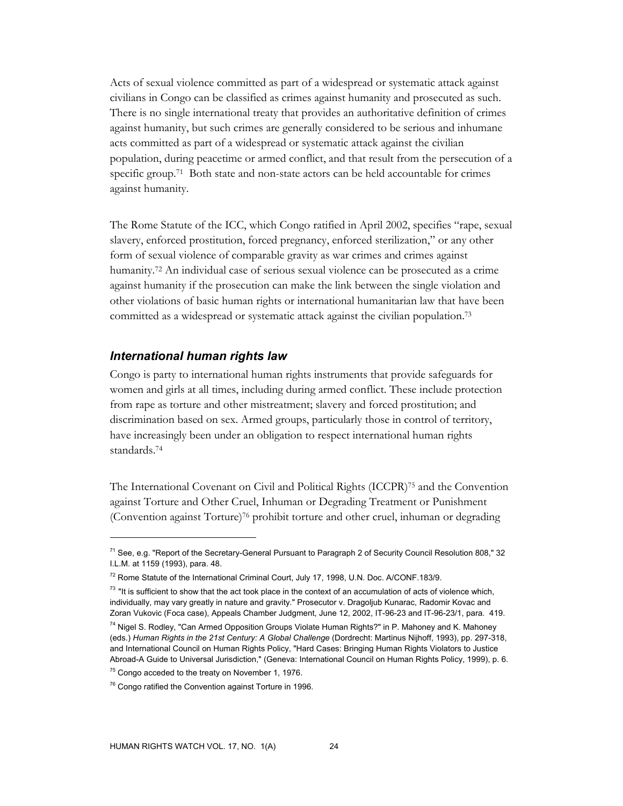Acts of sexual violence committed as part of a widespread or systematic attack against civilians in Congo can be classified as crimes against humanity and prosecuted as such. There is no single international treaty that provides an authoritative definition of crimes against humanity, but such crimes are generally considered to be serious and inhumane acts committed as part of a widespread or systematic attack against the civilian population, during peacetime or armed conflict, and that result from the persecution of a specific group.<sup>71</sup> Both state and non-state actors can be held accountable for crimes against humanity.

The Rome Statute of the ICC, which Congo ratified in April 2002, specifies "rape, sexual slavery, enforced prostitution, forced pregnancy, enforced sterilization," or any other form of sexual violence of comparable gravity as war crimes and crimes against humanity.72 An individual case of serious sexual violence can be prosecuted as a crime against humanity if the prosecution can make the link between the single violation and other violations of basic human rights or international humanitarian law that have been committed as a widespread or systematic attack against the civilian population.73

#### *International human rights law*

Congo is party to international human rights instruments that provide safeguards for women and girls at all times, including during armed conflict. These include protection from rape as torture and other mistreatment; slavery and forced prostitution; and discrimination based on sex. Armed groups, particularly those in control of territory, have increasingly been under an obligation to respect international human rights standards.74

The International Covenant on Civil and Political Rights (ICCPR)75 and the Convention against Torture and Other Cruel, Inhuman or Degrading Treatment or Punishment (Convention against Torture)76 prohibit torture and other cruel, inhuman or degrading

<sup>&</sup>lt;sup>71</sup> See, e.g. "Report of the Secretary-General Pursuant to Paragraph 2 of Security Council Resolution 808," 32 I.L.M. at 1159 (1993), para. 48.

<sup>72</sup> Rome Statute of the International Criminal Court, July 17, 1998, U.N. Doc. A/CONF.183/9.

 $73$  "It is sufficient to show that the act took place in the context of an accumulation of acts of violence which, individually, may vary greatly in nature and gravity." Prosecutor v. Dragoljub Kunarac, Radomir Kovac and Zoran Vukovic (Foca case), Appeals Chamber Judgment, June 12, 2002, IT-96-23 and IT-96-23/1, para. 419.

<sup>74</sup> Nigel S. Rodley, "Can Armed Opposition Groups Violate Human Rights?" in P. Mahoney and K. Mahoney (eds.) *Human Rights in the 21st Century: A Global Challenge* (Dordrecht: Martinus Nijhoff, 1993), pp. 297-318, and International Council on Human Rights Policy, "Hard Cases: Bringing Human Rights Violators to Justice Abroad-A Guide to Universal Jurisdiction," (Geneva: International Council on Human Rights Policy, 1999), p. 6.

 $75$  Congo acceded to the treaty on November 1, 1976.

<sup>&</sup>lt;sup>76</sup> Congo ratified the Convention against Torture in 1996.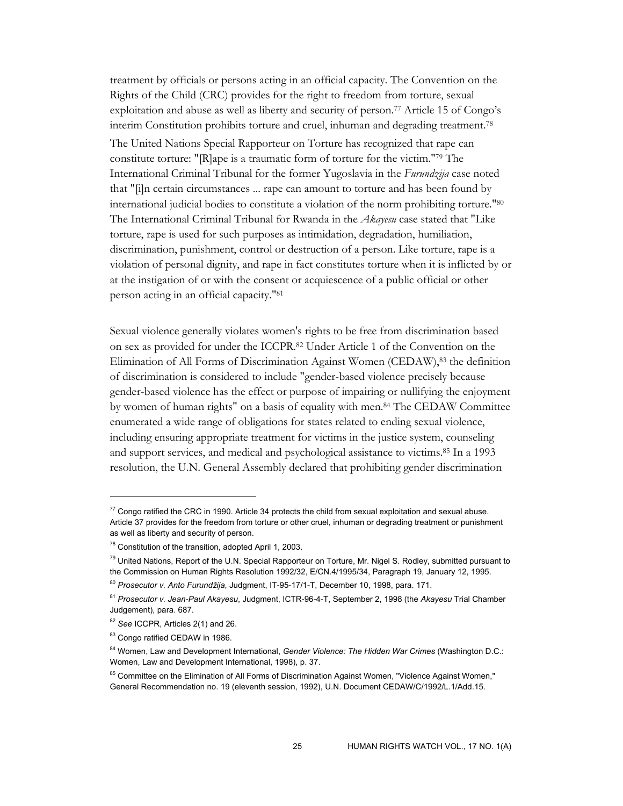treatment by officials or persons acting in an official capacity. The Convention on the Rights of the Child (CRC) provides for the right to freedom from torture, sexual exploitation and abuse as well as liberty and security of person.77 Article 15 of Congo's interim Constitution prohibits torture and cruel, inhuman and degrading treatment.78 The United Nations Special Rapporteur on Torture has recognized that rape can constitute torture: "[R]ape is a traumatic form of torture for the victim."79 The International Criminal Tribunal for the former Yugoslavia in the *Furundzija* case noted that "[i]n certain circumstances ... rape can amount to torture and has been found by international judicial bodies to constitute a violation of the norm prohibiting torture."80 The International Criminal Tribunal for Rwanda in the *Akayesu* case stated that "Like torture, rape is used for such purposes as intimidation, degradation, humiliation, discrimination, punishment, control or destruction of a person. Like torture, rape is a violation of personal dignity, and rape in fact constitutes torture when it is inflicted by or at the instigation of or with the consent or acquiescence of a public official or other person acting in an official capacity."81

Sexual violence generally violates women's rights to be free from discrimination based on sex as provided for under the ICCPR.82 Under Article 1 of the Convention on the Elimination of All Forms of Discrimination Against Women (CEDAW),83 the definition of discrimination is considered to include "gender-based violence precisely because gender-based violence has the effect or purpose of impairing or nullifying the enjoyment by women of human rights" on a basis of equality with men.84 The CEDAW Committee enumerated a wide range of obligations for states related to ending sexual violence, including ensuring appropriate treatment for victims in the justice system, counseling and support services, and medical and psychological assistance to victims.85 In a 1993 resolution, the U.N. General Assembly declared that prohibiting gender discrimination

 $77$  Congo ratified the CRC in 1990. Article 34 protects the child from sexual exploitation and sexual abuse. Article 37 provides for the freedom from torture or other cruel, inhuman or degrading treatment or punishment as well as liberty and security of person.

 $78$  Constitution of the transition, adopted April 1, 2003.

<sup>&</sup>lt;sup>79</sup> United Nations, Report of the U.N. Special Rapporteur on Torture, Mr. Nigel S. Rodley, submitted pursuant to the Commission on Human Rights Resolution 1992/32, E/CN.4/1995/34, Paragraph 19, January 12, 1995.

<sup>80</sup> *Prosecutor v. Anto Furundžija*, Judgment, IT-95-17/1-T, December 10, 1998, para. 171.

<sup>81</sup> *Prosecutor v. Jean-Paul Akayesu*, Judgment, ICTR-96-4-T, September 2, 1998 (the *Akayesu* Trial Chamber Judgement), para. 687.

<sup>82</sup> *See* ICCPR, Articles 2(1) and 26.

<sup>83</sup> Congo ratified CEDAW in 1986.

<sup>84</sup> Women, Law and Development International, *Gender Violence: The Hidden War Crimes* (Washington D.C.: Women, Law and Development International, 1998), p. 37.

<sup>&</sup>lt;sup>85</sup> Committee on the Elimination of All Forms of Discrimination Against Women, "Violence Against Women," General Recommendation no. 19 (eleventh session, 1992), U.N. Document CEDAW/C/1992/L.1/Add.15.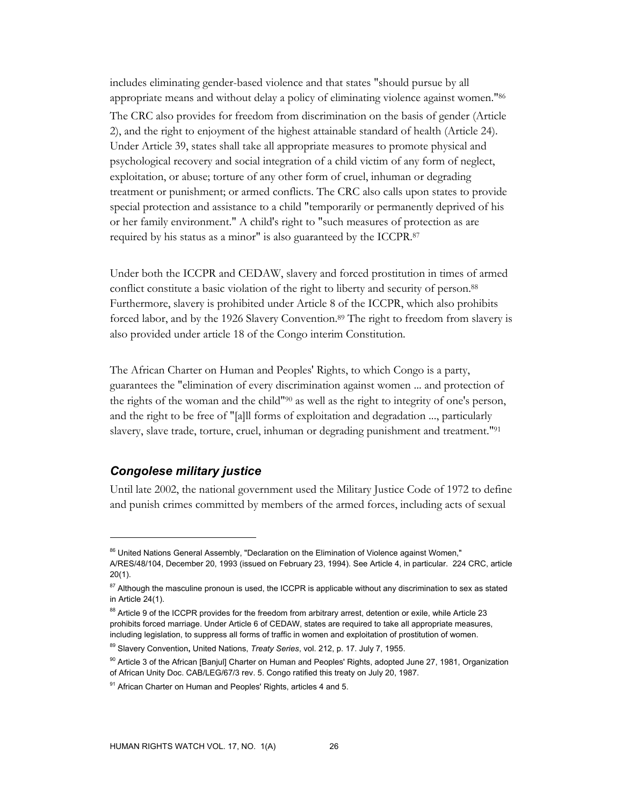includes eliminating gender-based violence and that states "should pursue by all appropriate means and without delay a policy of eliminating violence against women."86 The CRC also provides for freedom from discrimination on the basis of gender (Article 2), and the right to enjoyment of the highest attainable standard of health (Article 24). Under Article 39, states shall take all appropriate measures to promote physical and psychological recovery and social integration of a child victim of any form of neglect, exploitation, or abuse; torture of any other form of cruel, inhuman or degrading treatment or punishment; or armed conflicts. The CRC also calls upon states to provide special protection and assistance to a child "temporarily or permanently deprived of his or her family environment." A child's right to "such measures of protection as are required by his status as a minor" is also guaranteed by the ICCPR.87

Under both the ICCPR and CEDAW, slavery and forced prostitution in times of armed conflict constitute a basic violation of the right to liberty and security of person.<sup>88</sup> Furthermore, slavery is prohibited under Article 8 of the ICCPR, which also prohibits forced labor, and by the 1926 Slavery Convention.89 The right to freedom from slavery is also provided under article 18 of the Congo interim Constitution.

The African Charter on Human and Peoples' Rights, to which Congo is a party, guarantees the "elimination of every discrimination against women ... and protection of the rights of the woman and the child"90 as well as the right to integrity of one's person, and the right to be free of "[a]ll forms of exploitation and degradation ..., particularly slavery, slave trade, torture, cruel, inhuman or degrading punishment and treatment."91

### *Congolese military justice*

 $\overline{a}$ 

Until late 2002, the national government used the Military Justice Code of 1972 to define and punish crimes committed by members of the armed forces, including acts of sexual

<sup>86</sup> United Nations General Assembly, "Declaration on the Elimination of Violence against Women," A/RES/48/104, December 20, 1993 (issued on February 23, 1994). See Article 4, in particular. 224 CRC, article 20(1).

<sup>&</sup>lt;sup>87</sup> Although the masculine pronoun is used, the ICCPR is applicable without any discrimination to sex as stated in Article 24(1).

<sup>88</sup> Article 9 of the ICCPR provides for the freedom from arbitrary arrest, detention or exile, while Article 23 prohibits forced marriage. Under Article 6 of CEDAW, states are required to take all appropriate measures, including legislation, to suppress all forms of traffic in women and exploitation of prostitution of women.

<sup>89</sup> Slavery Convention**,** United Nations, *Treaty Series*, vol. 212, p. 17. July 7, 1955.

<sup>&</sup>lt;sup>90</sup> Article 3 of the African [Banjul] Charter on Human and Peoples' Rights, adopted June 27, 1981, Organization of African Unity Doc. CAB/LEG/67/3 rev. 5. Congo ratified this treaty on July 20, 1987.

 $91$  African Charter on Human and Peoples' Rights, articles 4 and 5.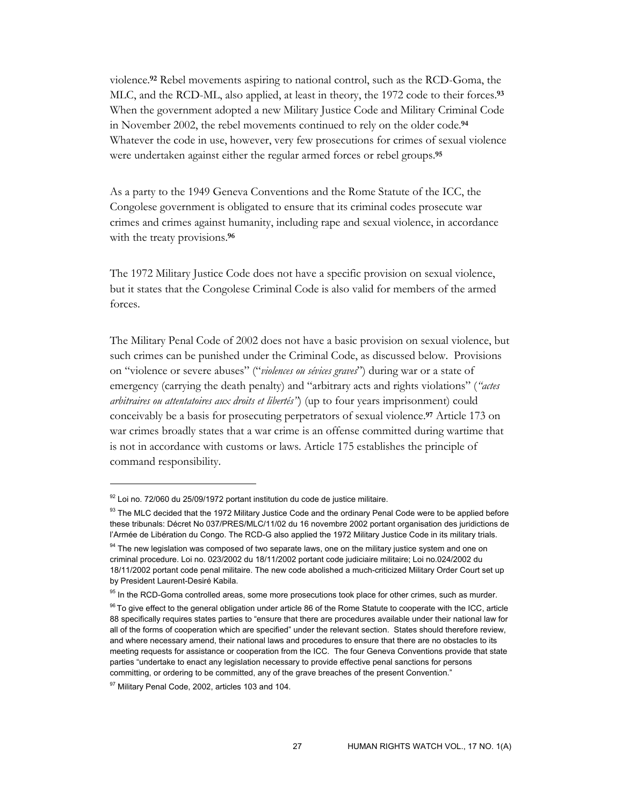violence.**92** Rebel movements aspiring to national control, such as the RCD-Goma, the MLC, and the RCD-ML, also applied, at least in theory, the 1972 code to their forces.**<sup>93</sup>** When the government adopted a new Military Justice Code and Military Criminal Code in November 2002, the rebel movements continued to rely on the older code.**<sup>94</sup>** Whatever the code in use, however, very few prosecutions for crimes of sexual violence were undertaken against either the regular armed forces or rebel groups.**<sup>95</sup>**

As a party to the 1949 Geneva Conventions and the Rome Statute of the ICC, the Congolese government is obligated to ensure that its criminal codes prosecute war crimes and crimes against humanity, including rape and sexual violence, in accordance with the treaty provisions.**<sup>96</sup>**

The 1972 Military Justice Code does not have a specific provision on sexual violence, but it states that the Congolese Criminal Code is also valid for members of the armed forces.

The Military Penal Code of 2002 does not have a basic provision on sexual violence, but such crimes can be punished under the Criminal Code, as discussed below. Provisions on "violence or severe abuses" ("*violences ou sévices graves*") during war or a state of emergency (carrying the death penalty) and "arbitrary acts and rights violations" (*"actes arbitraires ou attentatoires aux droits et libertés"*) (up to four years imprisonment) could conceivably be a basis for prosecuting perpetrators of sexual violence.**97** Article 173 on war crimes broadly states that a war crime is an offense committed during wartime that is not in accordance with customs or laws. Article 175 establishes the principle of command responsibility.

 $92$  Loi no. 72/060 du 25/09/1972 portant institution du code de justice militaire.

<sup>93</sup> The MLC decided that the 1972 Military Justice Code and the ordinary Penal Code were to be applied before these tribunals: Décret No 037/PRES/MLC/11/02 du 16 novembre 2002 portant organisation des juridictions de l'Armée de Libération du Congo. The RCD-G also applied the 1972 Military Justice Code in its military trials.

<sup>&</sup>lt;sup>94</sup> The new legislation was composed of two separate laws, one on the military justice system and one on criminal procedure. Loi no. 023/2002 du 18/11/2002 portant code judiciaire militaire; Loi no.024/2002 du 18/11/2002 portant code penal militaire. The new code abolished a much-criticized Military Order Court set up by President Laurent-Desiré Kabila.

<sup>&</sup>lt;sup>95</sup> In the RCD-Goma controlled areas, some more prosecutions took place for other crimes, such as murder.

<sup>&</sup>lt;sup>96</sup> To give effect to the general obligation under article 86 of the Rome Statute to cooperate with the ICC, article 88 specifically requires states parties to "ensure that there are procedures available under their national law for all of the forms of cooperation which are specified" under the relevant section. States should therefore review, and where necessary amend, their national laws and procedures to ensure that there are no obstacles to its meeting requests for assistance or cooperation from the ICC. The four Geneva Conventions provide that state parties "undertake to enact any legislation necessary to provide effective penal sanctions for persons committing, or ordering to be committed, any of the grave breaches of the present Convention."

<sup>97</sup> Military Penal Code, 2002, articles 103 and 104.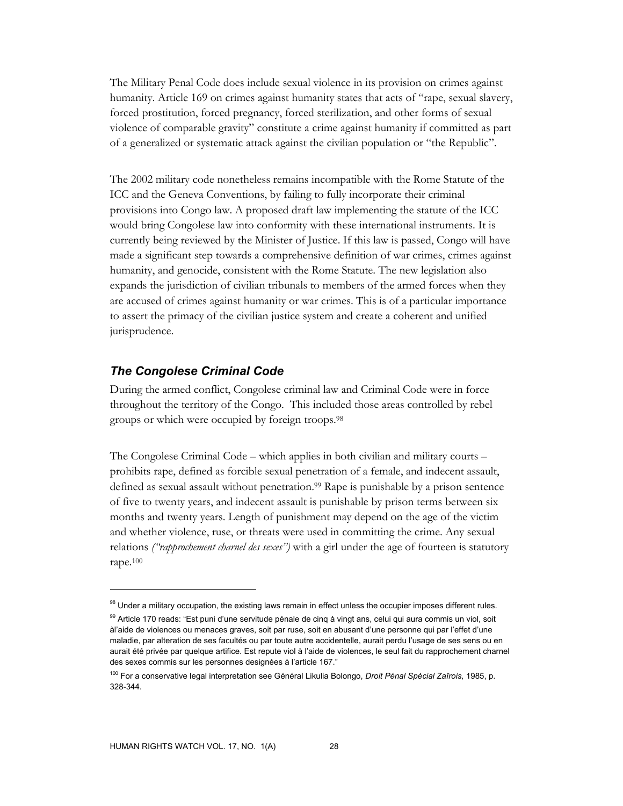The Military Penal Code does include sexual violence in its provision on crimes against humanity. Article 169 on crimes against humanity states that acts of "rape, sexual slavery, forced prostitution, forced pregnancy, forced sterilization, and other forms of sexual violence of comparable gravity" constitute a crime against humanity if committed as part of a generalized or systematic attack against the civilian population or "the Republic".

The 2002 military code nonetheless remains incompatible with the Rome Statute of the ICC and the Geneva Conventions, by failing to fully incorporate their criminal provisions into Congo law. A proposed draft law implementing the statute of the ICC would bring Congolese law into conformity with these international instruments. It is currently being reviewed by the Minister of Justice. If this law is passed, Congo will have made a significant step towards a comprehensive definition of war crimes, crimes against humanity, and genocide, consistent with the Rome Statute. The new legislation also expands the jurisdiction of civilian tribunals to members of the armed forces when they are accused of crimes against humanity or war crimes. This is of a particular importance to assert the primacy of the civilian justice system and create a coherent and unified jurisprudence.

### *The Congolese Criminal Code*

During the armed conflict, Congolese criminal law and Criminal Code were in force throughout the territory of the Congo. This included those areas controlled by rebel groups or which were occupied by foreign troops.98

The Congolese Criminal Code – which applies in both civilian and military courts – prohibits rape, defined as forcible sexual penetration of a female, and indecent assault, defined as sexual assault without penetration.<sup>99</sup> Rape is punishable by a prison sentence of five to twenty years, and indecent assault is punishable by prison terms between six months and twenty years. Length of punishment may depend on the age of the victim and whether violence, ruse, or threats were used in committing the crime. Any sexual relations *("rapprochement charnel des sexes")* with a girl under the age of fourteen is statutory rape.100

<sup>98</sup> Under a military occupation, the existing laws remain in effect unless the occupier imposes different rules.

<sup>&</sup>lt;sup>99</sup> Article 170 reads: "Est puni d'une servitude pénale de cinq à vingt ans, celui qui aura commis un viol, soit àl'aide de violences ou menaces graves, soit par ruse, soit en abusant d'une personne qui par l'effet d'une maladie, par alteration de ses facultés ou par toute autre accidentelle, aurait perdu l'usage de ses sens ou en aurait été privée par quelque artifice. Est repute viol à l'aide de violences, le seul fait du rapprochement charnel des sexes commis sur les personnes designées à l'article 167."

<sup>100</sup> For a conservative legal interpretation see Général Likulia Bolongo, *Droit Pénal Spécial Zaïrois,* 1985, p. 328-344.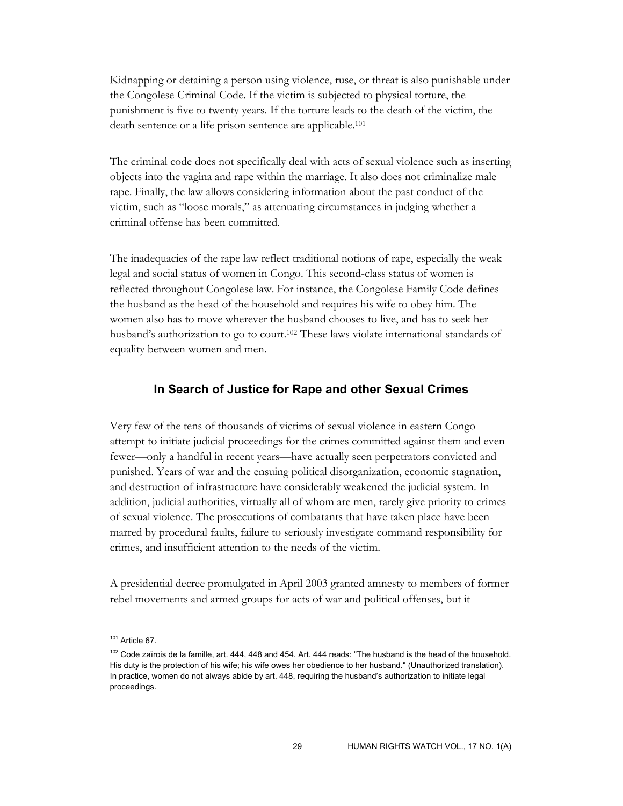Kidnapping or detaining a person using violence, ruse, or threat is also punishable under the Congolese Criminal Code. If the victim is subjected to physical torture, the punishment is five to twenty years. If the torture leads to the death of the victim, the death sentence or a life prison sentence are applicable.101

The criminal code does not specifically deal with acts of sexual violence such as inserting objects into the vagina and rape within the marriage. It also does not criminalize male rape. Finally, the law allows considering information about the past conduct of the victim, such as "loose morals," as attenuating circumstances in judging whether a criminal offense has been committed.

The inadequacies of the rape law reflect traditional notions of rape, especially the weak legal and social status of women in Congo. This second-class status of women is reflected throughout Congolese law. For instance, the Congolese Family Code defines the husband as the head of the household and requires his wife to obey him. The women also has to move wherever the husband chooses to live, and has to seek her husband's authorization to go to court.<sup>102</sup> These laws violate international standards of equality between women and men.

#### **In Search of Justice for Rape and other Sexual Crimes**

Very few of the tens of thousands of victims of sexual violence in eastern Congo attempt to initiate judicial proceedings for the crimes committed against them and even fewer—only a handful in recent years—have actually seen perpetrators convicted and punished. Years of war and the ensuing political disorganization, economic stagnation, and destruction of infrastructure have considerably weakened the judicial system. In addition, judicial authorities, virtually all of whom are men, rarely give priority to crimes of sexual violence. The prosecutions of combatants that have taken place have been marred by procedural faults, failure to seriously investigate command responsibility for crimes, and insufficient attention to the needs of the victim.

A presidential decree promulgated in April 2003 granted amnesty to members of former rebel movements and armed groups for acts of war and political offenses, but it

 $101$  Article 67.

 $102$  Code zaïrois de la famille, art. 444, 448 and 454. Art. 444 reads: "The husband is the head of the household. His duty is the protection of his wife; his wife owes her obedience to her husband." (Unauthorized translation). In practice, women do not always abide by art. 448, requiring the husband's authorization to initiate legal proceedings.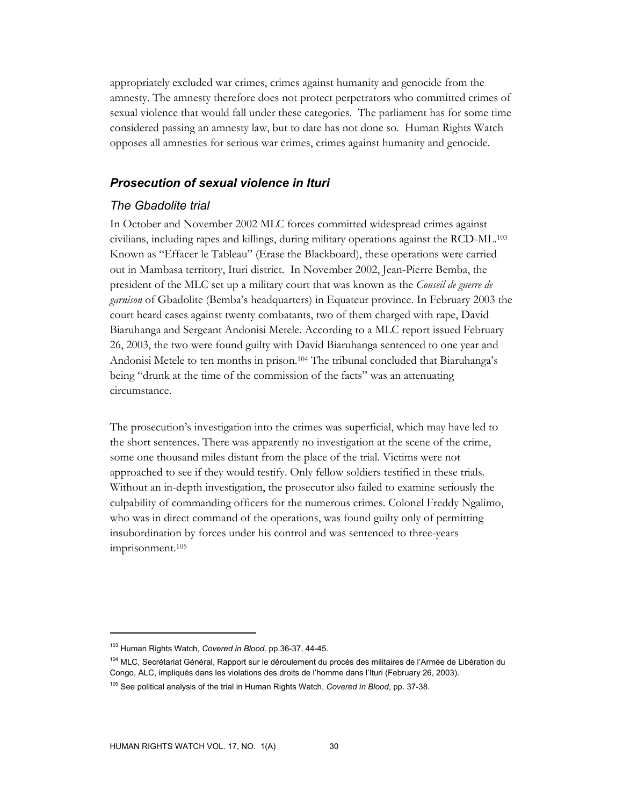appropriately excluded war crimes, crimes against humanity and genocide from the amnesty. The amnesty therefore does not protect perpetrators who committed crimes of sexual violence that would fall under these categories. The parliament has for some time considered passing an amnesty law, but to date has not done so. Human Rights Watch opposes all amnesties for serious war crimes, crimes against humanity and genocide.

### *Prosecution of sexual violence in Ituri*

### *The Gbadolite trial*

In October and November 2002 MLC forces committed widespread crimes against civilians, including rapes and killings, during military operations against the RCD-ML.103 Known as "Effacer le Tableau" (Erase the Blackboard), these operations were carried out in Mambasa territory, Ituri district. In November 2002, Jean-Pierre Bemba, the president of the MLC set up a military court that was known as the *Conseil de guerre de garnison* of Gbadolite (Bemba's headquarters) in Equateur province. In February 2003 the court heard cases against twenty combatants, two of them charged with rape, David Biaruhanga and Sergeant Andonisi Metele. According to a MLC report issued February 26, 2003, the two were found guilty with David Biaruhanga sentenced to one year and Andonisi Metele to ten months in prison.104 The tribunal concluded that Biaruhanga's being "drunk at the time of the commission of the facts" was an attenuating circumstance.

The prosecution's investigation into the crimes was superficial, which may have led to the short sentences. There was apparently no investigation at the scene of the crime, some one thousand miles distant from the place of the trial. Victims were not approached to see if they would testify. Only fellow soldiers testified in these trials. Without an in-depth investigation, the prosecutor also failed to examine seriously the culpability of commanding officers for the numerous crimes. Colonel Freddy Ngalimo, who was in direct command of the operations, was found guilty only of permitting insubordination by forces under his control and was sentenced to three-years imprisonment.105

<sup>103</sup> Human Rights Watch, *Covered in Blood,* pp.36-37, 44-45.

<sup>&</sup>lt;sup>104</sup> MLC, Secrétariat Général, Rapport sur le déroulement du procès des militaires de l'Armée de Libération du Congo, ALC, impliqués dans les violations des droits de l'homme dans l'Ituri (February 26, 2003).

<sup>105</sup> See political analysis of the trial in Human Rights Watch, *Covered in Blood*, pp. 37-38.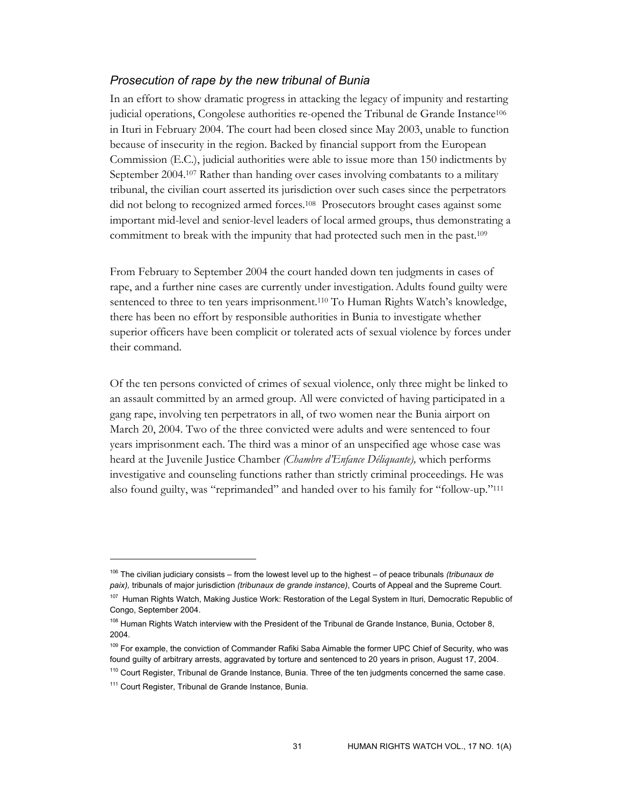### *Prosecution of rape by the new tribunal of Bunia*

In an effort to show dramatic progress in attacking the legacy of impunity and restarting judicial operations, Congolese authorities re-opened the Tribunal de Grande Instance106 in Ituri in February 2004. The court had been closed since May 2003, unable to function because of insecurity in the region. Backed by financial support from the European Commission (E.C.), judicial authorities were able to issue more than 150 indictments by September 2004.<sup>107</sup> Rather than handing over cases involving combatants to a military tribunal, the civilian court asserted its jurisdiction over such cases since the perpetrators did not belong to recognized armed forces.108 Prosecutors brought cases against some important mid-level and senior-level leaders of local armed groups, thus demonstrating a commitment to break with the impunity that had protected such men in the past.109

From February to September 2004 the court handed down ten judgments in cases of rape, and a further nine cases are currently under investigation.Adults found guilty were sentenced to three to ten years imprisonment.110 To Human Rights Watch's knowledge, there has been no effort by responsible authorities in Bunia to investigate whether superior officers have been complicit or tolerated acts of sexual violence by forces under their command.

Of the ten persons convicted of crimes of sexual violence, only three might be linked to an assault committed by an armed group. All were convicted of having participated in a gang rape, involving ten perpetrators in all, of two women near the Bunia airport on March 20, 2004. Two of the three convicted were adults and were sentenced to four years imprisonment each. The third was a minor of an unspecified age whose case was heard at the Juvenile Justice Chamber *(Chambre d'Enfance Déliquante),* which performs investigative and counseling functions rather than strictly criminal proceedings*.* He was also found guilty, was "reprimanded" and handed over to his family for "follow-up."111

- <sup>109</sup> For example, the conviction of Commander Rafiki Saba Aimable the former UPC Chief of Security, who was found guilty of arbitrary arrests, aggravated by torture and sentenced to 20 years in prison, August 17, 2004.
- <sup>110</sup> Court Register, Tribunal de Grande Instance, Bunia. Three of the ten judgments concerned the same case.

<sup>106</sup> The civilian judiciary consists – from the lowest level up to the highest – of peace tribunals *(tribunaux de paix),* tribunals of major jurisdiction *(tribunaux de grande instance)*, Courts of Appeal and the Supreme Court.

<sup>&</sup>lt;sup>107</sup> Human Rights Watch, Making Justice Work: Restoration of the Legal System in Ituri, Democratic Republic of Congo, September 2004.

<sup>&</sup>lt;sup>108</sup> Human Rights Watch interview with the President of the Tribunal de Grande Instance, Bunia, October 8, 2004.

<sup>&</sup>lt;sup>111</sup> Court Register, Tribunal de Grande Instance, Bunia.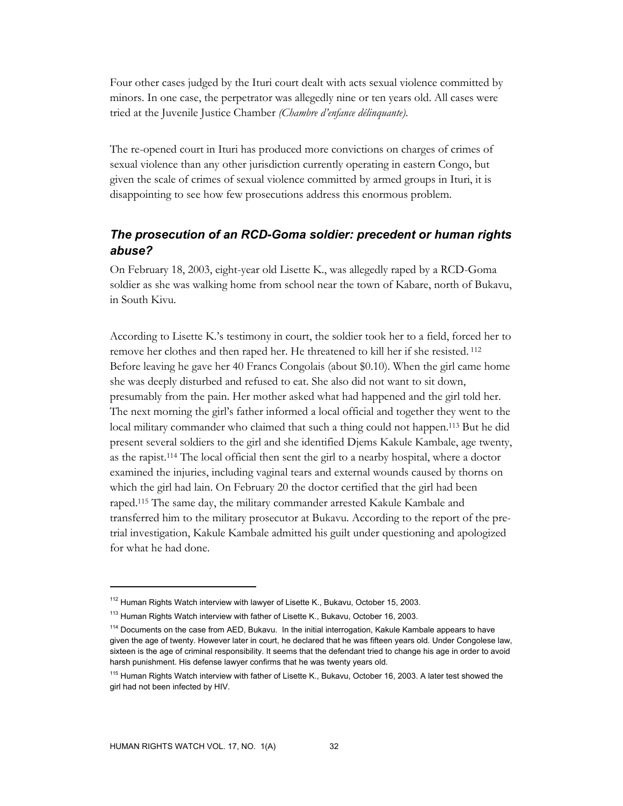Four other cases judged by the Ituri court dealt with acts sexual violence committed by minors. In one case, the perpetrator was allegedly nine or ten years old. All cases were tried at the Juvenile Justice Chamber *(Chambre d'enfance délinquante)*.

The re-opened court in Ituri has produced more convictions on charges of crimes of sexual violence than any other jurisdiction currently operating in eastern Congo, but given the scale of crimes of sexual violence committed by armed groups in Ituri, it is disappointing to see how few prosecutions address this enormous problem.

# *The prosecution of an RCD-Goma soldier: precedent or human rights abuse?*

On February 18, 2003, eight-year old Lisette K., was allegedly raped by a RCD-Goma soldier as she was walking home from school near the town of Kabare, north of Bukavu, in South Kivu.

According to Lisette K.'s testimony in court, the soldier took her to a field, forced her to remove her clothes and then raped her. He threatened to kill her if she resisted. 112 Before leaving he gave her 40 Francs Congolais (about \$0.10). When the girl came home she was deeply disturbed and refused to eat. She also did not want to sit down, presumably from the pain. Her mother asked what had happened and the girl told her. The next morning the girl's father informed a local official and together they went to the local military commander who claimed that such a thing could not happen.113 But he did present several soldiers to the girl and she identified Djems Kakule Kambale, age twenty, as the rapist.114 The local official then sent the girl to a nearby hospital, where a doctor examined the injuries, including vaginal tears and external wounds caused by thorns on which the girl had lain. On February 20 the doctor certified that the girl had been raped.115 The same day, the military commander arrested Kakule Kambale and transferred him to the military prosecutor at Bukavu. According to the report of the pretrial investigation, Kakule Kambale admitted his guilt under questioning and apologized for what he had done.

<sup>&</sup>lt;sup>112</sup> Human Rights Watch interview with lawyer of Lisette K., Bukavu, October 15, 2003.

<sup>113</sup> Human Rights Watch interview with father of Lisette K., Bukavu, October 16, 2003.

<sup>&</sup>lt;sup>114</sup> Documents on the case from AED, Bukavu. In the initial interrogation, Kakule Kambale appears to have given the age of twenty. However later in court, he declared that he was fifteen years old. Under Congolese law, sixteen is the age of criminal responsibility. It seems that the defendant tried to change his age in order to avoid harsh punishment. His defense lawyer confirms that he was twenty years old.

<sup>&</sup>lt;sup>115</sup> Human Rights Watch interview with father of Lisette K., Bukavu, October 16, 2003. A later test showed the girl had not been infected by HIV.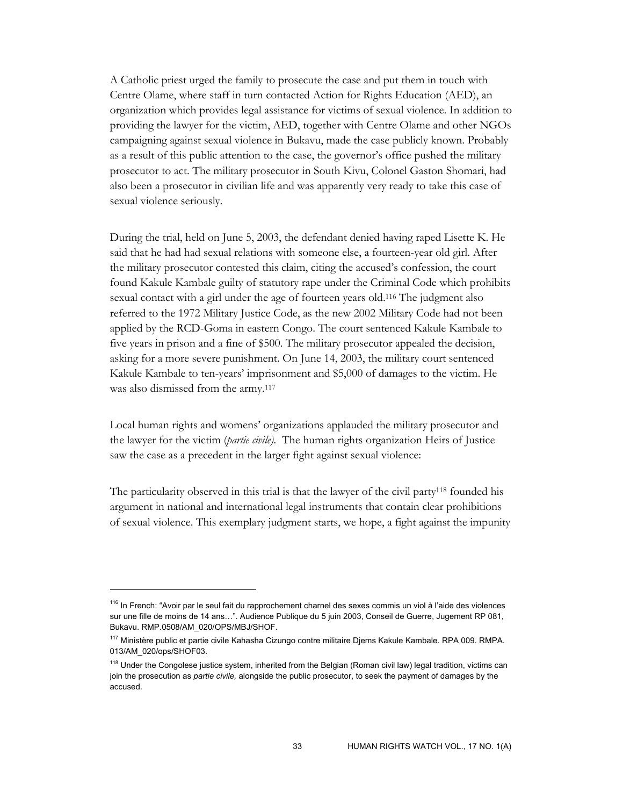A Catholic priest urged the family to prosecute the case and put them in touch with Centre Olame, where staff in turn contacted Action for Rights Education (AED), an organization which provides legal assistance for victims of sexual violence. In addition to providing the lawyer for the victim, AED, together with Centre Olame and other NGOs campaigning against sexual violence in Bukavu, made the case publicly known. Probably as a result of this public attention to the case, the governor's office pushed the military prosecutor to act. The military prosecutor in South Kivu, Colonel Gaston Shomari, had also been a prosecutor in civilian life and was apparently very ready to take this case of sexual violence seriously.

During the trial, held on June 5, 2003, the defendant denied having raped Lisette K. He said that he had had sexual relations with someone else, a fourteen-year old girl. After the military prosecutor contested this claim, citing the accused's confession, the court found Kakule Kambale guilty of statutory rape under the Criminal Code which prohibits sexual contact with a girl under the age of fourteen years old.116 The judgment also referred to the 1972 Military Justice Code, as the new 2002 Military Code had not been applied by the RCD-Goma in eastern Congo. The court sentenced Kakule Kambale to five years in prison and a fine of \$500. The military prosecutor appealed the decision, asking for a more severe punishment. On June 14, 2003, the military court sentenced Kakule Kambale to ten-years' imprisonment and \$5,000 of damages to the victim. He was also dismissed from the army.<sup>117</sup>

Local human rights and womens' organizations applauded the military prosecutor and the lawyer for the victim (*partie civile).* The human rights organization Heirs of Justice saw the case as a precedent in the larger fight against sexual violence:

The particularity observed in this trial is that the lawyer of the civil party118 founded his argument in national and international legal instruments that contain clear prohibitions of sexual violence. This exemplary judgment starts, we hope, a fight against the impunity

<sup>&</sup>lt;sup>116</sup> In French: "Avoir par le seul fait du rapprochement charnel des sexes commis un viol à l'aide des violences sur une fille de moins de 14 ans…". Audience Publique du 5 juin 2003, Conseil de Guerre, Jugement RP 081, Bukavu. RMP.0508/AM\_020/OPS/MBJ/SHOF.

<sup>&</sup>lt;sup>117</sup> Ministère public et partie civile Kahasha Cizungo contre militaire Djems Kakule Kambale. RPA 009. RMPA. 013/AM\_020/ops/SHOF03.

<sup>&</sup>lt;sup>118</sup> Under the Congolese justice system, inherited from the Belgian (Roman civil law) legal tradition, victims can join the prosecution as *partie civile,* alongside the public prosecutor, to seek the payment of damages by the accused.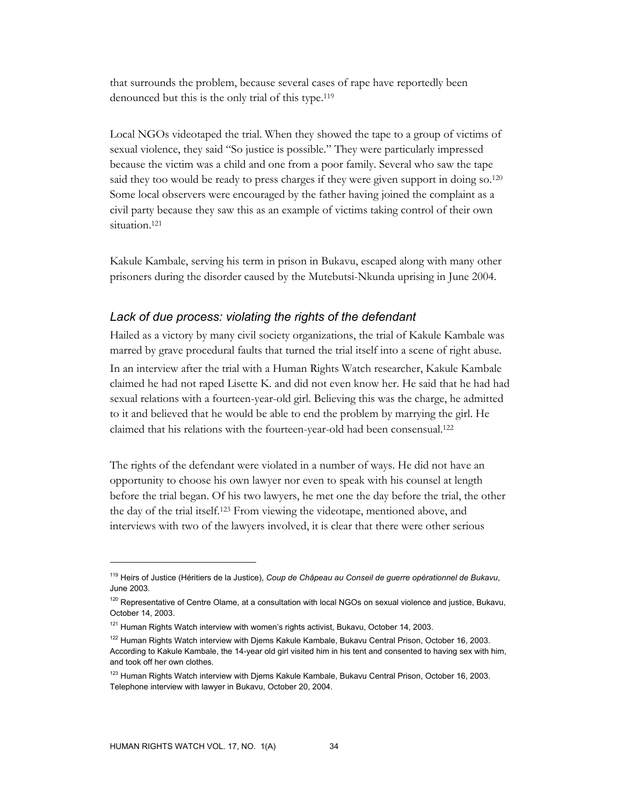that surrounds the problem, because several cases of rape have reportedly been denounced but this is the only trial of this type.119

Local NGOs videotaped the trial. When they showed the tape to a group of victims of sexual violence, they said "So justice is possible." They were particularly impressed because the victim was a child and one from a poor family. Several who saw the tape said they too would be ready to press charges if they were given support in doing so.<sup>120</sup> Some local observers were encouraged by the father having joined the complaint as a civil party because they saw this as an example of victims taking control of their own situation.<sup>121</sup>

Kakule Kambale, serving his term in prison in Bukavu, escaped along with many other prisoners during the disorder caused by the Mutebutsi-Nkunda uprising in June 2004.

#### *Lack of due process: violating the rights of the defendant*

Hailed as a victory by many civil society organizations, the trial of Kakule Kambale was marred by grave procedural faults that turned the trial itself into a scene of right abuse. In an interview after the trial with a Human Rights Watch researcher, Kakule Kambale claimed he had not raped Lisette K. and did not even know her. He said that he had had sexual relations with a fourteen-year-old girl. Believing this was the charge, he admitted to it and believed that he would be able to end the problem by marrying the girl. He claimed that his relations with the fourteen-year-old had been consensual.122

The rights of the defendant were violated in a number of ways. He did not have an opportunity to choose his own lawyer nor even to speak with his counsel at length before the trial began. Of his two lawyers, he met one the day before the trial, the other the day of the trial itself.123 From viewing the videotape, mentioned above, and interviews with two of the lawyers involved, it is clear that there were other serious

<sup>119</sup> Heirs of Justice (Héritiers de la Justice), *Coup de Châpeau au Conseil de guerre opérationnel de Bukavu*, June 2003.

 $120$  Representative of Centre Olame, at a consultation with local NGOs on sexual violence and justice, Bukavu, October 14, 2003.

<sup>&</sup>lt;sup>121</sup> Human Rights Watch interview with women's rights activist, Bukavu, October 14, 2003.

<sup>&</sup>lt;sup>122</sup> Human Rights Watch interview with Djems Kakule Kambale, Bukavu Central Prison, October 16, 2003. According to Kakule Kambale, the 14-year old girl visited him in his tent and consented to having sex with him, and took off her own clothes.

<sup>&</sup>lt;sup>123</sup> Human Rights Watch interview with Djems Kakule Kambale, Bukavu Central Prison, October 16, 2003. Telephone interview with lawyer in Bukavu, October 20, 2004.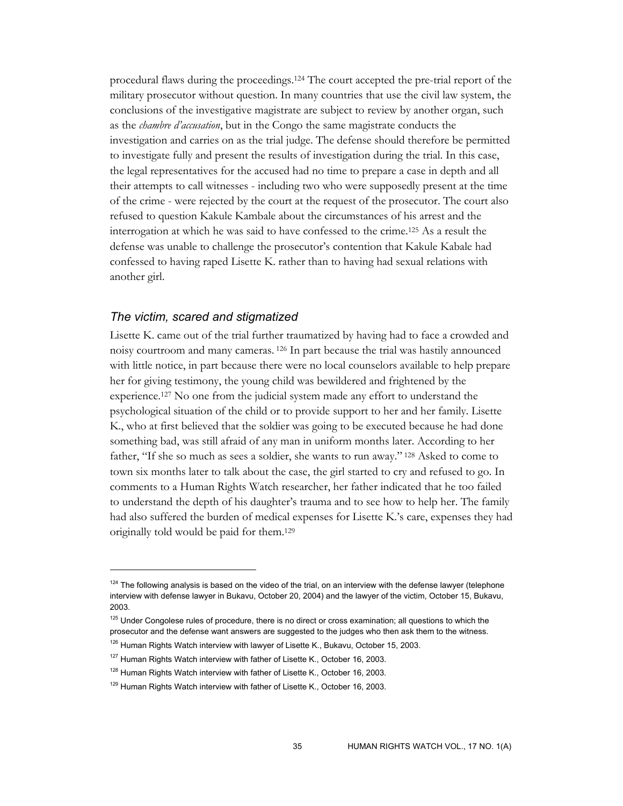procedural flaws during the proceedings.124 The court accepted the pre-trial report of the military prosecutor without question. In many countries that use the civil law system, the conclusions of the investigative magistrate are subject to review by another organ, such as the *chambre d'accusation*, but in the Congo the same magistrate conducts the investigation and carries on as the trial judge. The defense should therefore be permitted to investigate fully and present the results of investigation during the trial. In this case, the legal representatives for the accused had no time to prepare a case in depth and all their attempts to call witnesses - including two who were supposedly present at the time of the crime - were rejected by the court at the request of the prosecutor. The court also refused to question Kakule Kambale about the circumstances of his arrest and the interrogation at which he was said to have confessed to the crime.125 As a result the defense was unable to challenge the prosecutor's contention that Kakule Kabale had confessed to having raped Lisette K. rather than to having had sexual relations with another girl.

#### *The victim, scared and stigmatized*

-

Lisette K. came out of the trial further traumatized by having had to face a crowded and noisy courtroom and many cameras. 126 In part because the trial was hastily announced with little notice, in part because there were no local counselors available to help prepare her for giving testimony, the young child was bewildered and frightened by the experience.127 No one from the judicial system made any effort to understand the psychological situation of the child or to provide support to her and her family. Lisette K., who at first believed that the soldier was going to be executed because he had done something bad, was still afraid of any man in uniform months later. According to her father, "If she so much as sees a soldier, she wants to run away." 128 Asked to come to town six months later to talk about the case, the girl started to cry and refused to go. In comments to a Human Rights Watch researcher, her father indicated that he too failed to understand the depth of his daughter's trauma and to see how to help her. The family had also suffered the burden of medical expenses for Lisette K.'s care, expenses they had originally told would be paid for them.129

 $124$  The following analysis is based on the video of the trial, on an interview with the defense lawyer (telephone interview with defense lawyer in Bukavu, October 20, 2004) and the lawyer of the victim, October 15, Bukavu, 2003.

<sup>&</sup>lt;sup>125</sup> Under Congolese rules of procedure, there is no direct or cross examination; all questions to which the prosecutor and the defense want answers are suggested to the judges who then ask them to the witness.

<sup>&</sup>lt;sup>126</sup> Human Rights Watch interview with lawyer of Lisette K., Bukavu, October 15, 2003.

 $127$  Human Rights Watch interview with father of Lisette K., October 16, 2003.

<sup>&</sup>lt;sup>128</sup> Human Rights Watch interview with father of Lisette K., October 16, 2003.

<sup>&</sup>lt;sup>129</sup> Human Rights Watch interview with father of Lisette K., October 16, 2003.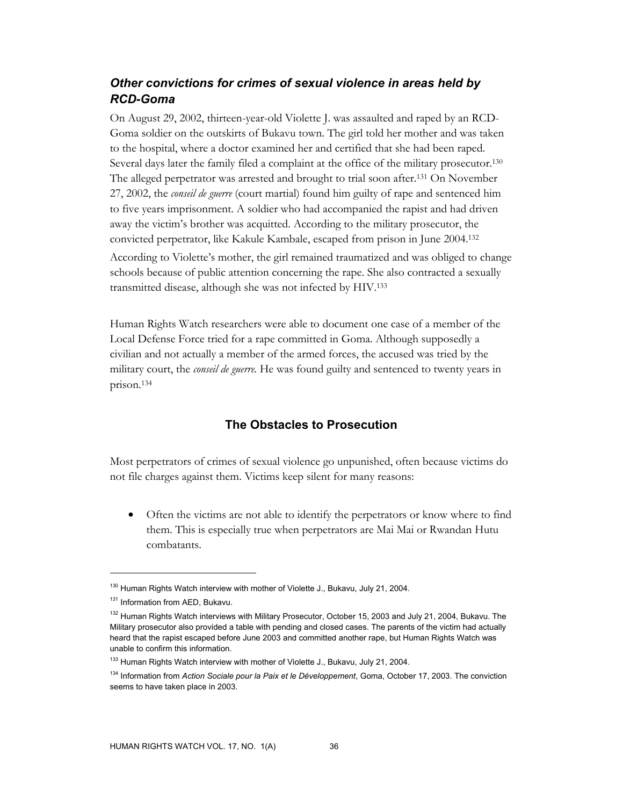# *Other convictions for crimes of sexual violence in areas held by RCD-Goma*

On August 29, 2002, thirteen-year-old Violette J. was assaulted and raped by an RCD-Goma soldier on the outskirts of Bukavu town. The girl told her mother and was taken to the hospital, where a doctor examined her and certified that she had been raped. Several days later the family filed a complaint at the office of the military prosecutor.130 The alleged perpetrator was arrested and brought to trial soon after.131 On November 27, 2002, the *conseil de guerre* (court martial) found him guilty of rape and sentenced him to five years imprisonment. A soldier who had accompanied the rapist and had driven away the victim's brother was acquitted. According to the military prosecutor, the convicted perpetrator, like Kakule Kambale, escaped from prison in June 2004.132 According to Violette's mother, the girl remained traumatized and was obliged to change schools because of public attention concerning the rape. She also contracted a sexually transmitted disease, although she was not infected by HIV.133

Human Rights Watch researchers were able to document one case of a member of the Local Defense Force tried for a rape committed in Goma. Although supposedly a civilian and not actually a member of the armed forces, the accused was tried by the military court, the *conseil de guerre.* He was found guilty and sentenced to twenty years in prison.134

### **The Obstacles to Prosecution**

Most perpetrators of crimes of sexual violence go unpunished, often because victims do not file charges against them. Victims keep silent for many reasons:

• Often the victims are not able to identify the perpetrators or know where to find them. This is especially true when perpetrators are Mai Mai or Rwandan Hutu combatants.

<sup>&</sup>lt;sup>130</sup> Human Rights Watch interview with mother of Violette J., Bukavu, July 21, 2004.

<sup>&</sup>lt;sup>131</sup> Information from AED, Bukavu.

<sup>&</sup>lt;sup>132</sup> Human Rights Watch interviews with Military Prosecutor, October 15, 2003 and July 21, 2004, Bukavu. The Military prosecutor also provided a table with pending and closed cases. The parents of the victim had actually heard that the rapist escaped before June 2003 and committed another rape, but Human Rights Watch was unable to confirm this information.

<sup>&</sup>lt;sup>133</sup> Human Rights Watch interview with mother of Violette J., Bukavu, July 21, 2004.

<sup>134</sup> Information from *Action Sociale pour la Paix et le Développement*, Goma, October 17, 2003. The conviction seems to have taken place in 2003.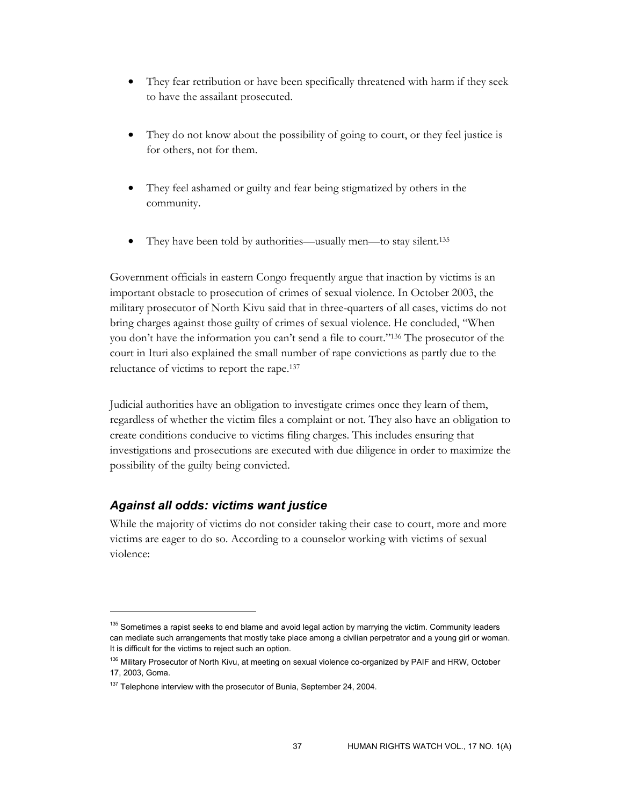- They fear retribution or have been specifically threatened with harm if they seek to have the assailant prosecuted.
- They do not know about the possibility of going to court, or they feel justice is for others, not for them.
- They feel ashamed or guilty and fear being stigmatized by others in the community.
- They have been told by authorities—usually men—to stay silent.<sup>135</sup>

Government officials in eastern Congo frequently argue that inaction by victims is an important obstacle to prosecution of crimes of sexual violence. In October 2003, the military prosecutor of North Kivu said that in three-quarters of all cases, victims do not bring charges against those guilty of crimes of sexual violence. He concluded, "When you don't have the information you can't send a file to court."136 The prosecutor of the court in Ituri also explained the small number of rape convictions as partly due to the reluctance of victims to report the rape.137

Judicial authorities have an obligation to investigate crimes once they learn of them, regardless of whether the victim files a complaint or not. They also have an obligation to create conditions conducive to victims filing charges. This includes ensuring that investigations and prosecutions are executed with due diligence in order to maximize the possibility of the guilty being convicted.

### *Against all odds: victims want justice*

 $\overline{a}$ 

While the majority of victims do not consider taking their case to court, more and more victims are eager to do so. According to a counselor working with victims of sexual violence:

<sup>&</sup>lt;sup>135</sup> Sometimes a rapist seeks to end blame and avoid legal action by marrying the victim. Community leaders can mediate such arrangements that mostly take place among a civilian perpetrator and a young girl or woman. It is difficult for the victims to reject such an option.

<sup>&</sup>lt;sup>136</sup> Military Prosecutor of North Kivu, at meeting on sexual violence co-organized by PAIF and HRW, October 17, 2003, Goma.

<sup>&</sup>lt;sup>137</sup> Telephone interview with the prosecutor of Bunia, September 24, 2004.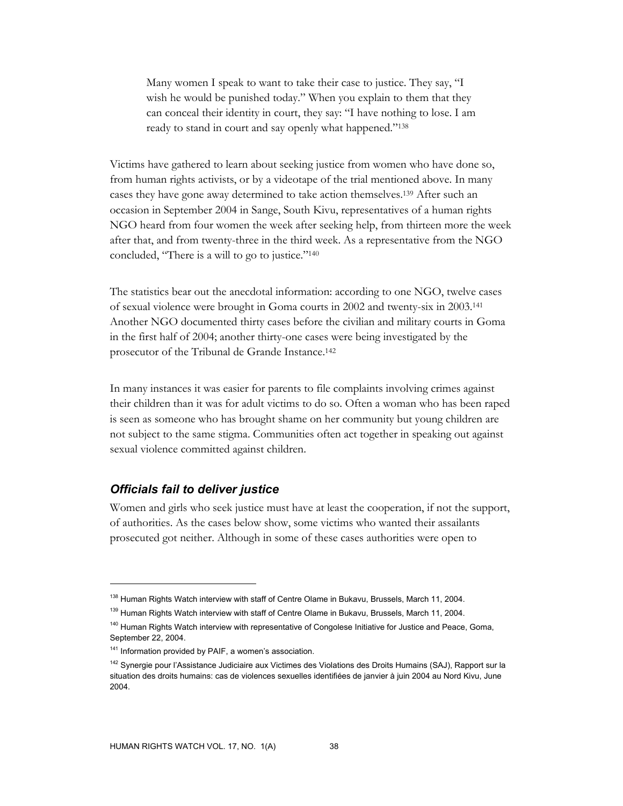Many women I speak to want to take their case to justice. They say, "I wish he would be punished today." When you explain to them that they can conceal their identity in court, they say: "I have nothing to lose. I am ready to stand in court and say openly what happened."138

Victims have gathered to learn about seeking justice from women who have done so, from human rights activists, or by a videotape of the trial mentioned above. In many cases they have gone away determined to take action themselves.139 After such an occasion in September 2004 in Sange, South Kivu, representatives of a human rights NGO heard from four women the week after seeking help, from thirteen more the week after that, and from twenty-three in the third week. As a representative from the NGO concluded, "There is a will to go to justice."140

The statistics bear out the anecdotal information: according to one NGO, twelve cases of sexual violence were brought in Goma courts in 2002 and twenty-six in 2003.141 Another NGO documented thirty cases before the civilian and military courts in Goma in the first half of 2004; another thirty-one cases were being investigated by the prosecutor of the Tribunal de Grande Instance.142

In many instances it was easier for parents to file complaints involving crimes against their children than it was for adult victims to do so. Often a woman who has been raped is seen as someone who has brought shame on her community but young children are not subject to the same stigma. Communities often act together in speaking out against sexual violence committed against children.

### *Officials fail to deliver justice*

 $\overline{a}$ 

Women and girls who seek justice must have at least the cooperation, if not the support, of authorities. As the cases below show, some victims who wanted their assailants prosecuted got neither. Although in some of these cases authorities were open to

<sup>&</sup>lt;sup>138</sup> Human Rights Watch interview with staff of Centre Olame in Bukavu, Brussels, March 11, 2004.

<sup>&</sup>lt;sup>139</sup> Human Rights Watch interview with staff of Centre Olame in Bukavu, Brussels, March 11, 2004.

<sup>&</sup>lt;sup>140</sup> Human Rights Watch interview with representative of Congolese Initiative for Justice and Peace, Goma, September 22, 2004.

<sup>&</sup>lt;sup>141</sup> Information provided by PAIF, a women's association.

<sup>&</sup>lt;sup>142</sup> Synergie pour l'Assistance Judiciaire aux Victimes des Violations des Droits Humains (SAJ), Rapport sur la situation des droits humains: cas de violences sexuelles identifiées de janvier à juin 2004 au Nord Kivu, June 2004.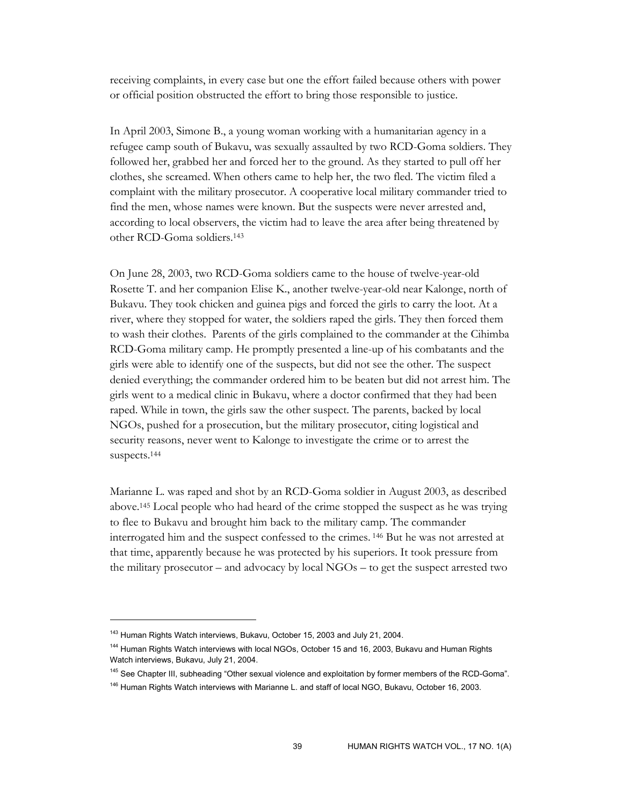receiving complaints, in every case but one the effort failed because others with power or official position obstructed the effort to bring those responsible to justice.

In April 2003, Simone B., a young woman working with a humanitarian agency in a refugee camp south of Bukavu, was sexually assaulted by two RCD-Goma soldiers. They followed her, grabbed her and forced her to the ground. As they started to pull off her clothes, she screamed. When others came to help her, the two fled. The victim filed a complaint with the military prosecutor. A cooperative local military commander tried to find the men, whose names were known. But the suspects were never arrested and, according to local observers, the victim had to leave the area after being threatened by other RCD-Goma soldiers.143

On June 28, 2003, two RCD-Goma soldiers came to the house of twelve-year-old Rosette T. and her companion Elise K., another twelve-year-old near Kalonge, north of Bukavu. They took chicken and guinea pigs and forced the girls to carry the loot. At a river, where they stopped for water, the soldiers raped the girls. They then forced them to wash their clothes. Parents of the girls complained to the commander at the Cihimba RCD-Goma military camp. He promptly presented a line-up of his combatants and the girls were able to identify one of the suspects, but did not see the other. The suspect denied everything; the commander ordered him to be beaten but did not arrest him. The girls went to a medical clinic in Bukavu, where a doctor confirmed that they had been raped. While in town, the girls saw the other suspect. The parents, backed by local NGOs, pushed for a prosecution, but the military prosecutor, citing logistical and security reasons, never went to Kalonge to investigate the crime or to arrest the suspects.144

Marianne L. was raped and shot by an RCD-Goma soldier in August 2003, as described above.145 Local people who had heard of the crime stopped the suspect as he was trying to flee to Bukavu and brought him back to the military camp. The commander interrogated him and the suspect confessed to the crimes. 146 But he was not arrested at that time, apparently because he was protected by his superiors. It took pressure from the military prosecutor – and advocacy by local NGOs – to get the suspect arrested two

<sup>&</sup>lt;sup>143</sup> Human Rights Watch interviews, Bukavu, October 15, 2003 and July 21, 2004.

<sup>144</sup> Human Rights Watch interviews with local NGOs, October 15 and 16, 2003, Bukavu and Human Rights Watch interviews, Bukavu, July 21, 2004.

<sup>&</sup>lt;sup>145</sup> See Chapter III, subheading "Other sexual violence and exploitation by former members of the RCD-Goma".

<sup>&</sup>lt;sup>146</sup> Human Rights Watch interviews with Marianne L. and staff of local NGO, Bukavu, October 16, 2003.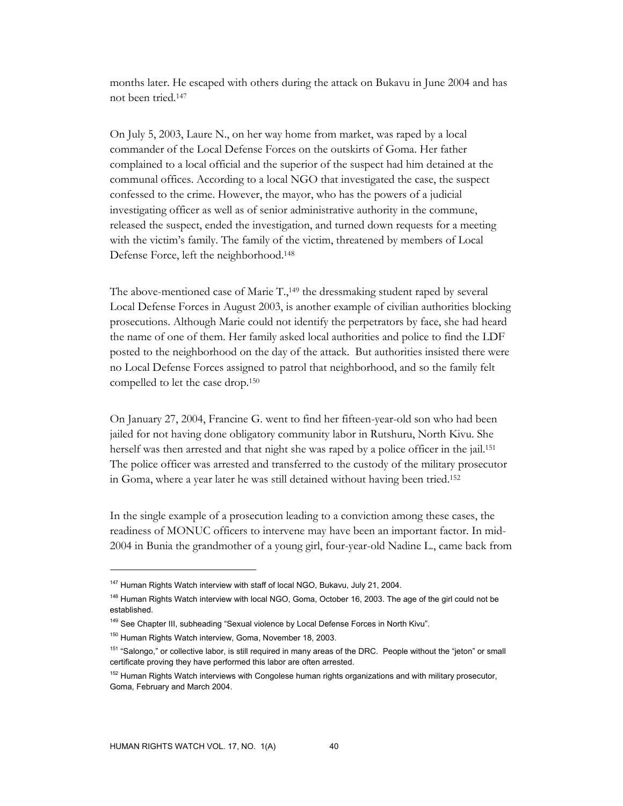months later. He escaped with others during the attack on Bukavu in June 2004 and has not been tried.147

On July 5, 2003, Laure N., on her way home from market, was raped by a local commander of the Local Defense Forces on the outskirts of Goma. Her father complained to a local official and the superior of the suspect had him detained at the communal offices. According to a local NGO that investigated the case, the suspect confessed to the crime. However, the mayor, who has the powers of a judicial investigating officer as well as of senior administrative authority in the commune, released the suspect, ended the investigation, and turned down requests for a meeting with the victim's family. The family of the victim, threatened by members of Local Defense Force, left the neighborhood.148

The above-mentioned case of Marie T.,<sup>149</sup> the dressmaking student raped by several Local Defense Forces in August 2003, is another example of civilian authorities blocking prosecutions. Although Marie could not identify the perpetrators by face, she had heard the name of one of them. Her family asked local authorities and police to find the LDF posted to the neighborhood on the day of the attack. But authorities insisted there were no Local Defense Forces assigned to patrol that neighborhood, and so the family felt compelled to let the case drop.150

On January 27, 2004, Francine G. went to find her fifteen-year-old son who had been jailed for not having done obligatory community labor in Rutshuru, North Kivu. She herself was then arrested and that night she was raped by a police officer in the jail.151 The police officer was arrested and transferred to the custody of the military prosecutor in Goma, where a year later he was still detained without having been tried.152

In the single example of a prosecution leading to a conviction among these cases, the readiness of MONUC officers to intervene may have been an important factor. In mid-2004 in Bunia the grandmother of a young girl, four-year-old Nadine L., came back from

<sup>&</sup>lt;sup>147</sup> Human Rights Watch interview with staff of local NGO, Bukavu, July 21, 2004.

<sup>&</sup>lt;sup>148</sup> Human Rights Watch interview with local NGO, Goma, October 16, 2003. The age of the girl could not be established.

<sup>&</sup>lt;sup>149</sup> See Chapter III, subheading "Sexual violence by Local Defense Forces in North Kivu".

<sup>150</sup> Human Rights Watch interview, Goma, November 18, 2003.

<sup>&</sup>lt;sup>151</sup> "Salongo," or collective labor, is still required in many areas of the DRC. People without the "jeton" or small certificate proving they have performed this labor are often arrested.

<sup>&</sup>lt;sup>152</sup> Human Rights Watch interviews with Congolese human rights organizations and with military prosecutor, Goma, February and March 2004.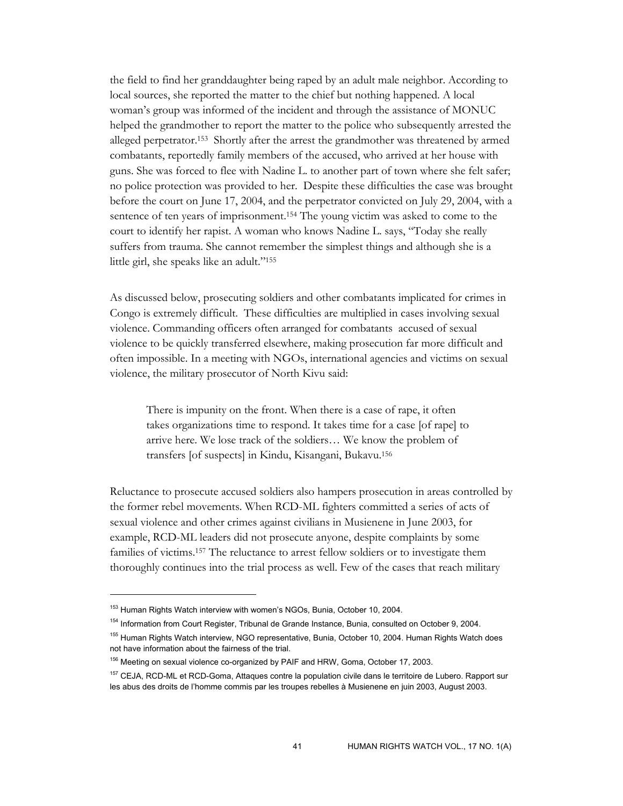the field to find her granddaughter being raped by an adult male neighbor. According to local sources, she reported the matter to the chief but nothing happened. A local woman's group was informed of the incident and through the assistance of MONUC helped the grandmother to report the matter to the police who subsequently arrested the alleged perpetrator.153 Shortly after the arrest the grandmother was threatened by armed combatants, reportedly family members of the accused, who arrived at her house with guns. She was forced to flee with Nadine L. to another part of town where she felt safer; no police protection was provided to her. Despite these difficulties the case was brought before the court on June 17, 2004, and the perpetrator convicted on July 29, 2004, with a sentence of ten years of imprisonment.154 The young victim was asked to come to the court to identify her rapist. A woman who knows Nadine L. says, "Today she really suffers from trauma. She cannot remember the simplest things and although she is a little girl, she speaks like an adult."155

As discussed below, prosecuting soldiers and other combatants implicated for crimes in Congo is extremely difficult. These difficulties are multiplied in cases involving sexual violence. Commanding officers often arranged for combatants accused of sexual violence to be quickly transferred elsewhere, making prosecution far more difficult and often impossible. In a meeting with NGOs, international agencies and victims on sexual violence, the military prosecutor of North Kivu said:

There is impunity on the front. When there is a case of rape, it often takes organizations time to respond. It takes time for a case [of rape] to arrive here. We lose track of the soldiers… We know the problem of transfers [of suspects] in Kindu, Kisangani, Bukavu.156

Reluctance to prosecute accused soldiers also hampers prosecution in areas controlled by the former rebel movements. When RCD-ML fighters committed a series of acts of sexual violence and other crimes against civilians in Musienene in June 2003, for example, RCD-ML leaders did not prosecute anyone, despite complaints by some families of victims.157 The reluctance to arrest fellow soldiers or to investigate them thoroughly continues into the trial process as well. Few of the cases that reach military

<sup>&</sup>lt;sup>153</sup> Human Rights Watch interview with women's NGOs, Bunia, October 10, 2004.

<sup>154</sup> Information from Court Register, Tribunal de Grande Instance, Bunia, consulted on October 9, 2004.

<sup>155</sup> Human Rights Watch interview, NGO representative, Bunia, October 10, 2004. Human Rights Watch does not have information about the fairness of the trial.

<sup>&</sup>lt;sup>156</sup> Meeting on sexual violence co-organized by PAIF and HRW, Goma, October 17, 2003.

<sup>&</sup>lt;sup>157</sup> CEJA, RCD-ML et RCD-Goma, Attaques contre la population civile dans le territoire de Lubero. Rapport sur les abus des droits de l'homme commis par les troupes rebelles à Musienene en juin 2003, August 2003.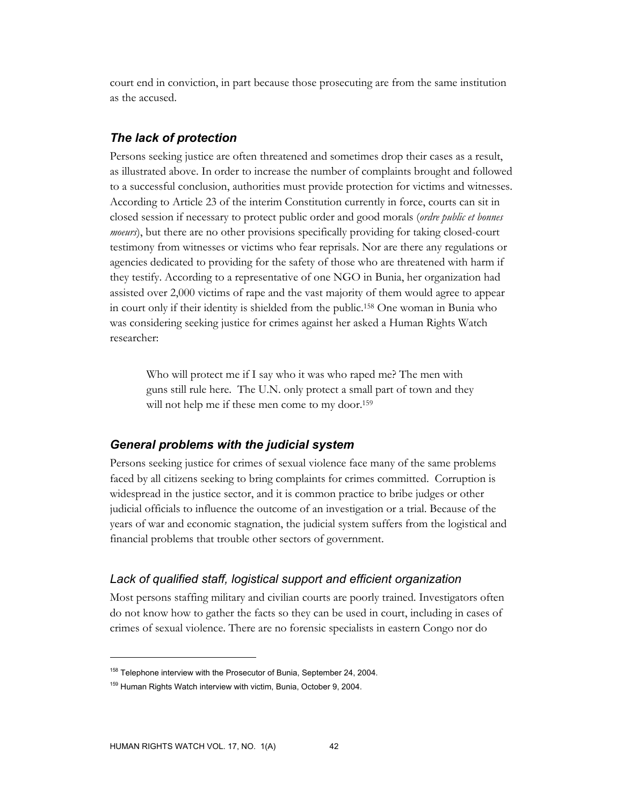court end in conviction, in part because those prosecuting are from the same institution as the accused.

### *The lack of protection*

Persons seeking justice are often threatened and sometimes drop their cases as a result, as illustrated above. In order to increase the number of complaints brought and followed to a successful conclusion, authorities must provide protection for victims and witnesses. According to Article 23 of the interim Constitution currently in force, courts can sit in closed session if necessary to protect public order and good morals (*ordre public et bonnes moeurs*), but there are no other provisions specifically providing for taking closed-court testimony from witnesses or victims who fear reprisals. Nor are there any regulations or agencies dedicated to providing for the safety of those who are threatened with harm if they testify. According to a representative of one NGO in Bunia, her organization had assisted over 2,000 victims of rape and the vast majority of them would agree to appear in court only if their identity is shielded from the public.158 One woman in Bunia who was considering seeking justice for crimes against her asked a Human Rights Watch researcher:

Who will protect me if I say who it was who raped me? The men with guns still rule here. The U.N. only protect a small part of town and they will not help me if these men come to my door.<sup>159</sup>

### *General problems with the judicial system*

Persons seeking justice for crimes of sexual violence face many of the same problems faced by all citizens seeking to bring complaints for crimes committed. Corruption is widespread in the justice sector, and it is common practice to bribe judges or other judicial officials to influence the outcome of an investigation or a trial. Because of the years of war and economic stagnation, the judicial system suffers from the logistical and financial problems that trouble other sectors of government.

### *Lack of qualified staff, logistical support and efficient organization*

Most persons staffing military and civilian courts are poorly trained. Investigators often do not know how to gather the facts so they can be used in court, including in cases of crimes of sexual violence. There are no forensic specialists in eastern Congo nor do

<sup>&</sup>lt;sup>158</sup> Telephone interview with the Prosecutor of Bunia, September 24, 2004.

<sup>&</sup>lt;sup>159</sup> Human Rights Watch interview with victim, Bunia, October 9, 2004.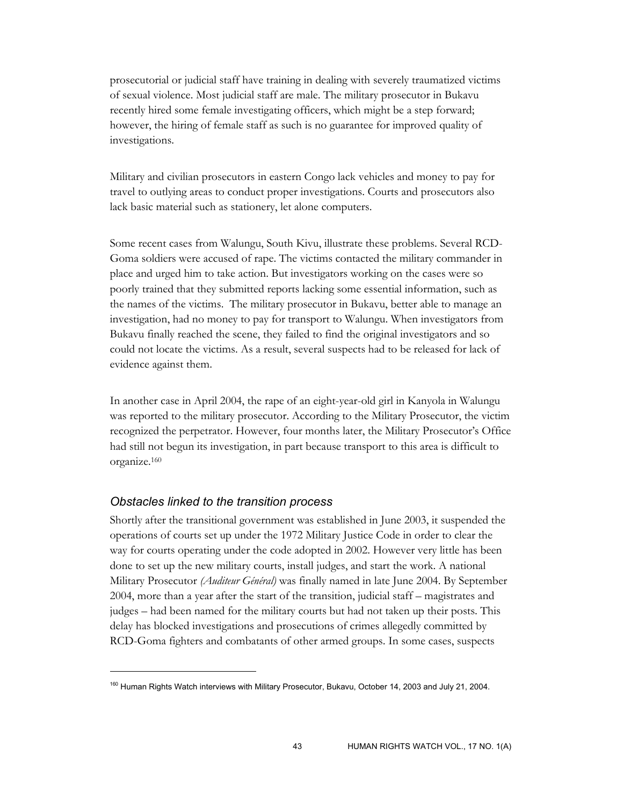prosecutorial or judicial staff have training in dealing with severely traumatized victims of sexual violence. Most judicial staff are male. The military prosecutor in Bukavu recently hired some female investigating officers, which might be a step forward; however, the hiring of female staff as such is no guarantee for improved quality of investigations.

Military and civilian prosecutors in eastern Congo lack vehicles and money to pay for travel to outlying areas to conduct proper investigations. Courts and prosecutors also lack basic material such as stationery, let alone computers.

Some recent cases from Walungu, South Kivu, illustrate these problems. Several RCD-Goma soldiers were accused of rape. The victims contacted the military commander in place and urged him to take action. But investigators working on the cases were so poorly trained that they submitted reports lacking some essential information, such as the names of the victims. The military prosecutor in Bukavu, better able to manage an investigation, had no money to pay for transport to Walungu. When investigators from Bukavu finally reached the scene, they failed to find the original investigators and so could not locate the victims. As a result, several suspects had to be released for lack of evidence against them.

In another case in April 2004, the rape of an eight-year-old girl in Kanyola in Walungu was reported to the military prosecutor. According to the Military Prosecutor, the victim recognized the perpetrator. However, four months later, the Military Prosecutor's Office had still not begun its investigation, in part because transport to this area is difficult to organize.160

### *Obstacles linked to the transition process*

 $\overline{a}$ 

Shortly after the transitional government was established in June 2003, it suspended the operations of courts set up under the 1972 Military Justice Code in order to clear the way for courts operating under the code adopted in 2002. However very little has been done to set up the new military courts, install judges, and start the work. A national Military Prosecutor *(Auditeur Général)* was finally named in late June 2004. By September 2004, more than a year after the start of the transition, judicial staff – magistrates and judges – had been named for the military courts but had not taken up their posts. This delay has blocked investigations and prosecutions of crimes allegedly committed by RCD-Goma fighters and combatants of other armed groups. In some cases, suspects

<sup>&</sup>lt;sup>160</sup> Human Rights Watch interviews with Military Prosecutor, Bukavu, October 14, 2003 and July 21, 2004.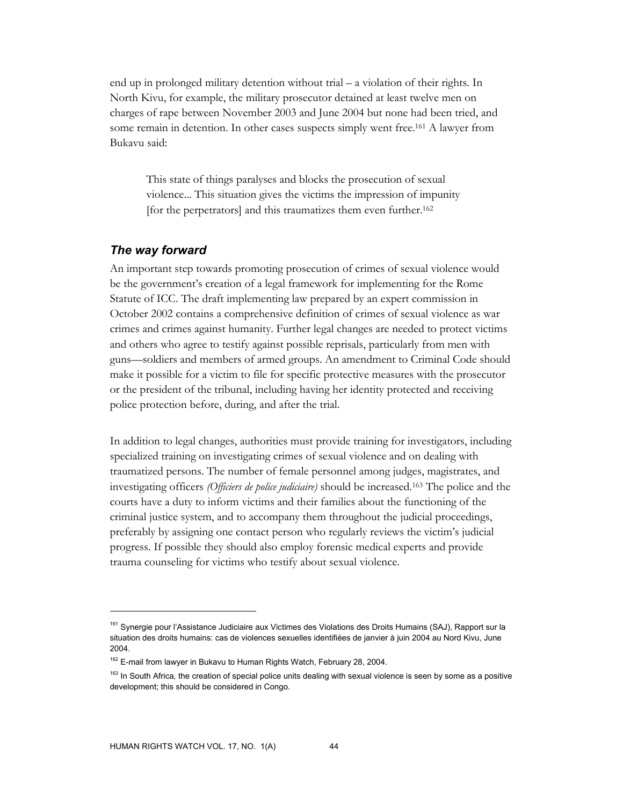end up in prolonged military detention without trial – a violation of their rights. In North Kivu, for example, the military prosecutor detained at least twelve men on charges of rape between November 2003 and June 2004 but none had been tried, and some remain in detention. In other cases suspects simply went free.161 A lawyer from Bukavu said:

This state of things paralyses and blocks the prosecution of sexual violence... This situation gives the victims the impression of impunity [for the perpetrators] and this traumatizes them even further.162

#### *The way forward*

An important step towards promoting prosecution of crimes of sexual violence would be the government's creation of a legal framework for implementing for the Rome Statute of ICC. The draft implementing law prepared by an expert commission in October 2002 contains a comprehensive definition of crimes of sexual violence as war crimes and crimes against humanity. Further legal changes are needed to protect victims and others who agree to testify against possible reprisals, particularly from men with guns—soldiers and members of armed groups. An amendment to Criminal Code should make it possible for a victim to file for specific protective measures with the prosecutor or the president of the tribunal, including having her identity protected and receiving police protection before, during, and after the trial.

In addition to legal changes, authorities must provide training for investigators, including specialized training on investigating crimes of sexual violence and on dealing with traumatized persons. The number of female personnel among judges, magistrates, and investigating officers *(Officiers de police judiciaire)* should be increased*.* <sup>163</sup> The police and the courts have a duty to inform victims and their families about the functioning of the criminal justice system, and to accompany them throughout the judicial proceedings, preferably by assigning one contact person who regularly reviews the victim's judicial progress. If possible they should also employ forensic medical experts and provide trauma counseling for victims who testify about sexual violence.

<sup>&</sup>lt;sup>161</sup> Synergie pour l'Assistance Judiciaire aux Victimes des Violations des Droits Humains (SAJ), Rapport sur la situation des droits humains: cas de violences sexuelles identifiées de janvier à juin 2004 au Nord Kivu, June 2004.

<sup>&</sup>lt;sup>162</sup> E-mail from lawyer in Bukavu to Human Rights Watch, February 28, 2004.

<sup>163</sup> In South Africa*,* the creation of special police units dealing with sexual violence is seen by some as a positive development; this should be considered in Congo.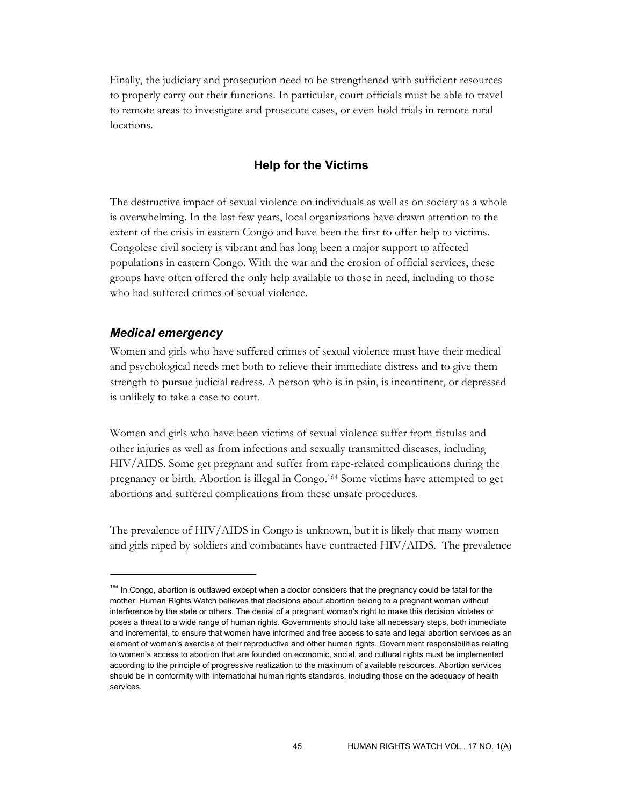Finally, the judiciary and prosecution need to be strengthened with sufficient resources to properly carry out their functions. In particular, court officials must be able to travel to remote areas to investigate and prosecute cases, or even hold trials in remote rural locations.

### **Help for the Victims**

The destructive impact of sexual violence on individuals as well as on society as a whole is overwhelming. In the last few years, local organizations have drawn attention to the extent of the crisis in eastern Congo and have been the first to offer help to victims. Congolese civil society is vibrant and has long been a major support to affected populations in eastern Congo. With the war and the erosion of official services, these groups have often offered the only help available to those in need, including to those who had suffered crimes of sexual violence.

#### *Medical emergency*

-

Women and girls who have suffered crimes of sexual violence must have their medical and psychological needs met both to relieve their immediate distress and to give them strength to pursue judicial redress. A person who is in pain, is incontinent, or depressed is unlikely to take a case to court.

Women and girls who have been victims of sexual violence suffer from fistulas and other injuries as well as from infections and sexually transmitted diseases, including HIV/AIDS. Some get pregnant and suffer from rape-related complications during the pregnancy or birth. Abortion is illegal in Congo.164 Some victims have attempted to get abortions and suffered complications from these unsafe procedures.

The prevalence of HIV/AIDS in Congo is unknown, but it is likely that many women and girls raped by soldiers and combatants have contracted HIV/AIDS. The prevalence

<sup>&</sup>lt;sup>164</sup> In Congo, abortion is outlawed except when a doctor considers that the pregnancy could be fatal for the mother. Human Rights Watch believes that decisions about abortion belong to a pregnant woman without interference by the state or others. The denial of a pregnant woman's right to make this decision violates or poses a threat to a wide range of human rights. Governments should take all necessary steps, both immediate and incremental, to ensure that women have informed and free access to safe and legal abortion services as an element of women's exercise of their reproductive and other human rights. Government responsibilities relating to women's access to abortion that are founded on economic, social, and cultural rights must be implemented according to the principle of progressive realization to the maximum of available resources. Abortion services should be in conformity with international human rights standards, including those on the adequacy of health services.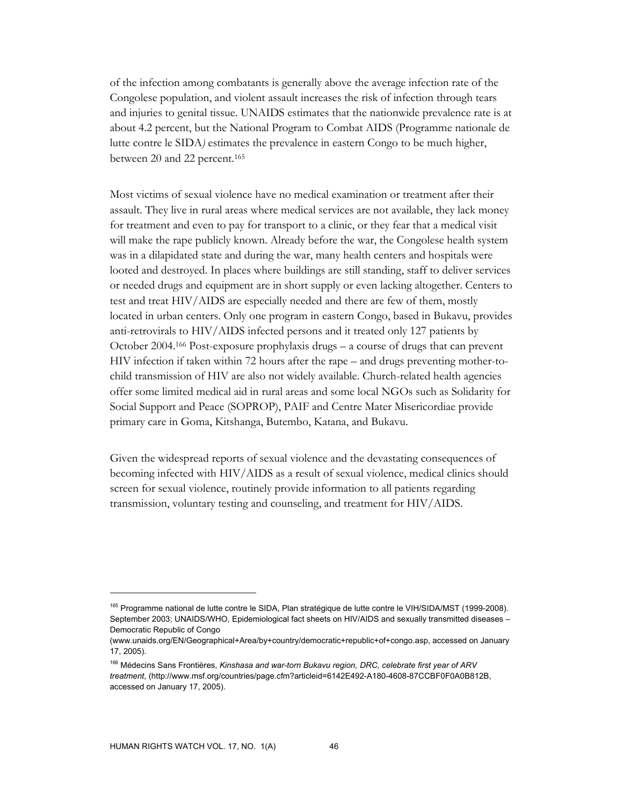of the infection among combatants is generally above the average infection rate of the Congolese population, and violent assault increases the risk of infection through tears and injuries to genital tissue. UNAIDS estimates that the nationwide prevalence rate is at about 4.2 percent, but the National Program to Combat AIDS (Programme nationale de lutte contre le SIDA*)* estimates the prevalence in eastern Congo to be much higher, between 20 and 22 percent.<sup>165</sup>

Most victims of sexual violence have no medical examination or treatment after their assault. They live in rural areas where medical services are not available, they lack money for treatment and even to pay for transport to a clinic, or they fear that a medical visit will make the rape publicly known. Already before the war, the Congolese health system was in a dilapidated state and during the war, many health centers and hospitals were looted and destroyed. In places where buildings are still standing, staff to deliver services or needed drugs and equipment are in short supply or even lacking altogether. Centers to test and treat HIV/AIDS are especially needed and there are few of them, mostly located in urban centers. Only one program in eastern Congo, based in Bukavu, provides anti-retrovirals to HIV/AIDS infected persons and it treated only 127 patients by October 2004.166 Post-exposure prophylaxis drugs – a course of drugs that can prevent HIV infection if taken within 72 hours after the rape – and drugs preventing mother-tochild transmission of HIV are also not widely available. Church-related health agencies offer some limited medical aid in rural areas and some local NGOs such as Solidarity for Social Support and Peace (SOPROP), PAIF and Centre Mater Misericordiae provide primary care in Goma, Kitshanga, Butembo, Katana, and Bukavu.

Given the widespread reports of sexual violence and the devastating consequences of becoming infected with HIV/AIDS as a result of sexual violence, medical clinics should screen for sexual violence, routinely provide information to all patients regarding transmission, voluntary testing and counseling, and treatment for HIV/AIDS.

<sup>165</sup> Programme national de lutte contre le SIDA, Plan stratégique de lutte contre le VIH/SIDA/MST (1999-2008). September 2003; UNAIDS/WHO, Epidemiological fact sheets on HIV/AIDS and sexually transmitted diseases – Democratic Republic of Congo

<sup>(</sup>www.unaids.org/EN/Geographical+Area/by+country/democratic+republic+of+congo.asp, accessed on January 17, 2005).

<sup>166</sup> Médecins Sans Frontières, *Kinshasa and war-torn Bukavu region, DRC, celebrate first year of ARV treatment*, (http://www.msf.org/countries/page.cfm?articleid=6142E492-A180-4608-87CCBF0F0A0B812B, accessed on January 17, 2005).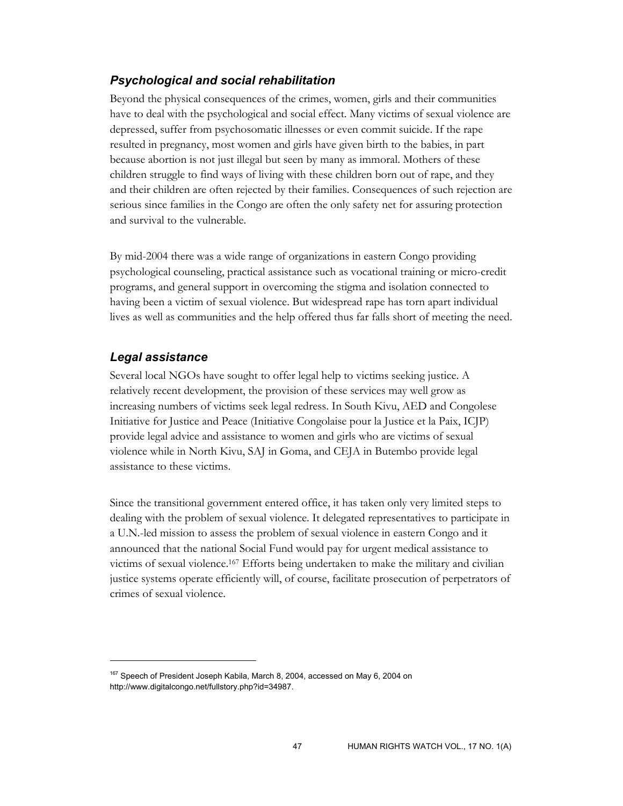### *Psychological and social rehabilitation*

Beyond the physical consequences of the crimes, women, girls and their communities have to deal with the psychological and social effect. Many victims of sexual violence are depressed, suffer from psychosomatic illnesses or even commit suicide. If the rape resulted in pregnancy, most women and girls have given birth to the babies, in part because abortion is not just illegal but seen by many as immoral. Mothers of these children struggle to find ways of living with these children born out of rape, and they and their children are often rejected by their families. Consequences of such rejection are serious since families in the Congo are often the only safety net for assuring protection and survival to the vulnerable.

By mid-2004 there was a wide range of organizations in eastern Congo providing psychological counseling, practical assistance such as vocational training or micro-credit programs, and general support in overcoming the stigma and isolation connected to having been a victim of sexual violence. But widespread rape has torn apart individual lives as well as communities and the help offered thus far falls short of meeting the need.

### *Legal assistance*

-

Several local NGOs have sought to offer legal help to victims seeking justice. A relatively recent development, the provision of these services may well grow as increasing numbers of victims seek legal redress. In South Kivu, AED and Congolese Initiative for Justice and Peace (Initiative Congolaise pour la Justice et la Paix, ICJP) provide legal advice and assistance to women and girls who are victims of sexual violence while in North Kivu, SAJ in Goma, and CEJA in Butembo provide legal assistance to these victims.

Since the transitional government entered office, it has taken only very limited steps to dealing with the problem of sexual violence. It delegated representatives to participate in a U.N.-led mission to assess the problem of sexual violence in eastern Congo and it announced that the national Social Fund would pay for urgent medical assistance to victims of sexual violence.167 Efforts being undertaken to make the military and civilian justice systems operate efficiently will, of course, facilitate prosecution of perpetrators of crimes of sexual violence.

<sup>&</sup>lt;sup>167</sup> Speech of President Joseph Kabila, March 8, 2004, accessed on May 6, 2004 on http://www.digitalcongo.net/fullstory.php?id=34987.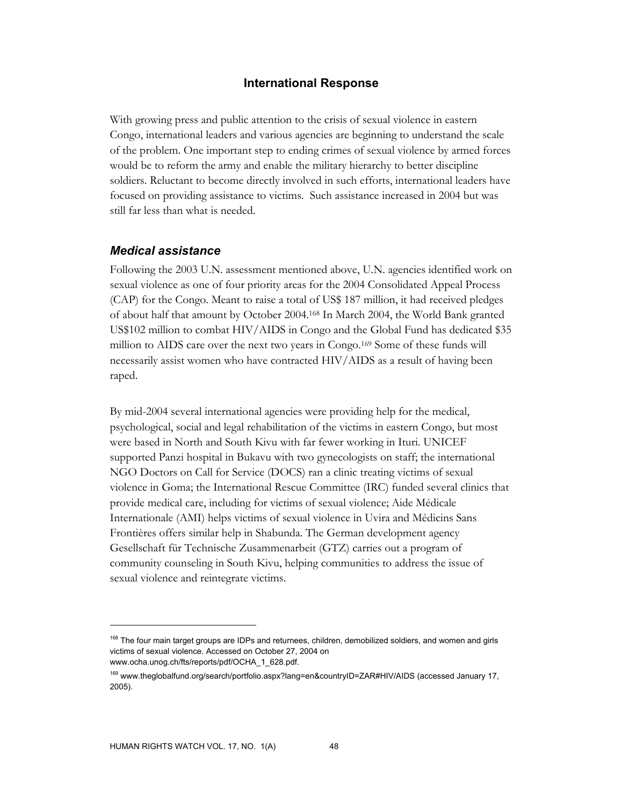### **International Response**

With growing press and public attention to the crisis of sexual violence in eastern Congo, international leaders and various agencies are beginning to understand the scale of the problem. One important step to ending crimes of sexual violence by armed forces would be to reform the army and enable the military hierarchy to better discipline soldiers. Reluctant to become directly involved in such efforts, international leaders have focused on providing assistance to victims. Such assistance increased in 2004 but was still far less than what is needed.

### *Medical assistance*

Following the 2003 U.N. assessment mentioned above, U.N. agencies identified work on sexual violence as one of four priority areas for the 2004 Consolidated Appeal Process (CAP) for the Congo. Meant to raise a total of US\$ 187 million, it had received pledges of about half that amount by October 2004.168 In March 2004, the World Bank granted US\$102 million to combat HIV/AIDS in Congo and the Global Fund has dedicated \$35 million to AIDS care over the next two years in Congo.169 Some of these funds will necessarily assist women who have contracted HIV/AIDS as a result of having been raped.

By mid-2004 several international agencies were providing help for the medical, psychological, social and legal rehabilitation of the victims in eastern Congo, but most were based in North and South Kivu with far fewer working in Ituri. UNICEF supported Panzi hospital in Bukavu with two gynecologists on staff; the international NGO Doctors on Call for Service (DOCS) ran a clinic treating victims of sexual violence in Goma; the International Rescue Committee (IRC) funded several clinics that provide medical care, including for victims of sexual violence; Aide Médicale Internationale (AMI) helps victims of sexual violence in Uvira and Médicins Sans Frontières offers similar help in Shabunda. The German development agency Gesellschaft für Technische Zusammenarbeit (GTZ) carries out a program of community counseling in South Kivu, helping communities to address the issue of sexual violence and reintegrate victims.

<sup>&</sup>lt;sup>168</sup> The four main target groups are IDPs and returnees, children, demobilized soldiers, and women and girls victims of sexual violence. Accessed on October 27, 2004 on www.ocha.unog.ch/fts/reports/pdf/OCHA\_1\_628.pdf.

<sup>&</sup>lt;sup>169</sup> www.theglobalfund.org/search/portfolio.aspx?lang=en&countryID=ZAR#HIV/AIDS (accessed January 17, 2005).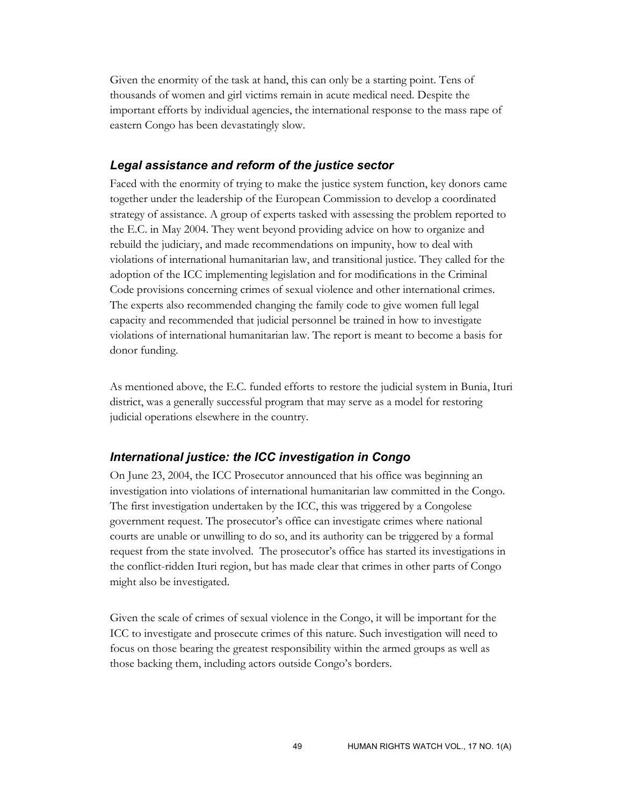Given the enormity of the task at hand, this can only be a starting point. Tens of thousands of women and girl victims remain in acute medical need. Despite the important efforts by individual agencies, the international response to the mass rape of eastern Congo has been devastatingly slow.

#### *Legal assistance and reform of the justice sector*

Faced with the enormity of trying to make the justice system function, key donors came together under the leadership of the European Commission to develop a coordinated strategy of assistance. A group of experts tasked with assessing the problem reported to the E.C. in May 2004. They went beyond providing advice on how to organize and rebuild the judiciary, and made recommendations on impunity, how to deal with violations of international humanitarian law, and transitional justice. They called for the adoption of the ICC implementing legislation and for modifications in the Criminal Code provisions concerning crimes of sexual violence and other international crimes. The experts also recommended changing the family code to give women full legal capacity and recommended that judicial personnel be trained in how to investigate violations of international humanitarian law. The report is meant to become a basis for donor funding.

As mentioned above, the E.C. funded efforts to restore the judicial system in Bunia, Ituri district, was a generally successful program that may serve as a model for restoring judicial operations elsewhere in the country.

### *International justice: the ICC investigation in Congo*

On June 23, 2004, the ICC Prosecutor announced that his office was beginning an investigation into violations of international humanitarian law committed in the Congo. The first investigation undertaken by the ICC, this was triggered by a Congolese government request. The prosecutor's office can investigate crimes where national courts are unable or unwilling to do so, and its authority can be triggered by a formal request from the state involved. The prosecutor's office has started its investigations in the conflict-ridden Ituri region, but has made clear that crimes in other parts of Congo might also be investigated.

Given the scale of crimes of sexual violence in the Congo, it will be important for the ICC to investigate and prosecute crimes of this nature. Such investigation will need to focus on those bearing the greatest responsibility within the armed groups as well as those backing them, including actors outside Congo's borders.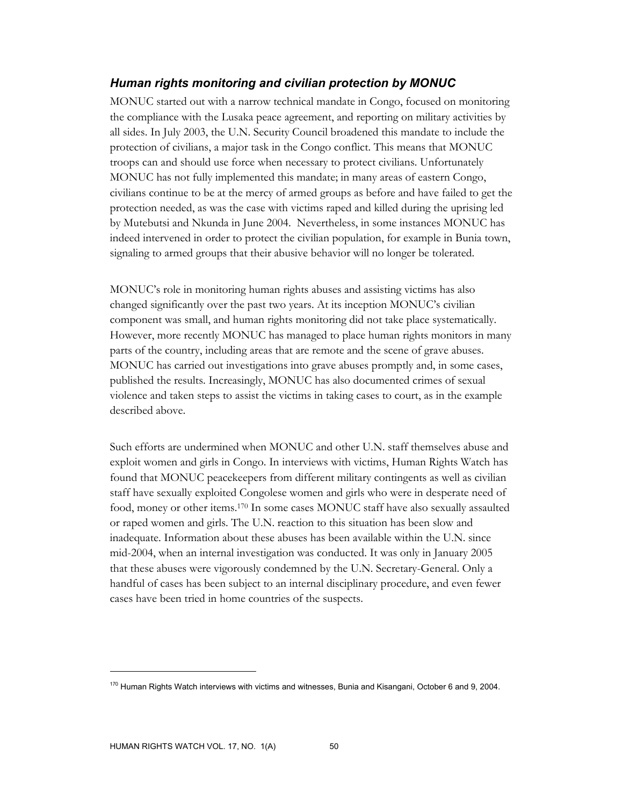### *Human rights monitoring and civilian protection by MONUC*

MONUC started out with a narrow technical mandate in Congo, focused on monitoring the compliance with the Lusaka peace agreement, and reporting on military activities by all sides. In July 2003, the U.N. Security Council broadened this mandate to include the protection of civilians, a major task in the Congo conflict. This means that MONUC troops can and should use force when necessary to protect civilians. Unfortunately MONUC has not fully implemented this mandate; in many areas of eastern Congo, civilians continue to be at the mercy of armed groups as before and have failed to get the protection needed, as was the case with victims raped and killed during the uprising led by Mutebutsi and Nkunda in June 2004. Nevertheless, in some instances MONUC has indeed intervened in order to protect the civilian population, for example in Bunia town, signaling to armed groups that their abusive behavior will no longer be tolerated.

MONUC's role in monitoring human rights abuses and assisting victims has also changed significantly over the past two years. At its inception MONUC's civilian component was small, and human rights monitoring did not take place systematically. However, more recently MONUC has managed to place human rights monitors in many parts of the country, including areas that are remote and the scene of grave abuses. MONUC has carried out investigations into grave abuses promptly and, in some cases, published the results. Increasingly, MONUC has also documented crimes of sexual violence and taken steps to assist the victims in taking cases to court, as in the example described above.

Such efforts are undermined when MONUC and other U.N. staff themselves abuse and exploit women and girls in Congo. In interviews with victims, Human Rights Watch has found that MONUC peacekeepers from different military contingents as well as civilian staff have sexually exploited Congolese women and girls who were in desperate need of food, money or other items.170 In some cases MONUC staff have also sexually assaulted or raped women and girls. The U.N. reaction to this situation has been slow and inadequate. Information about these abuses has been available within the U.N. since mid-2004, when an internal investigation was conducted. It was only in January 2005 that these abuses were vigorously condemned by the U.N. Secretary-General. Only a handful of cases has been subject to an internal disciplinary procedure, and even fewer cases have been tried in home countries of the suspects.

 $170$  Human Rights Watch interviews with victims and witnesses, Bunia and Kisangani, October 6 and 9, 2004.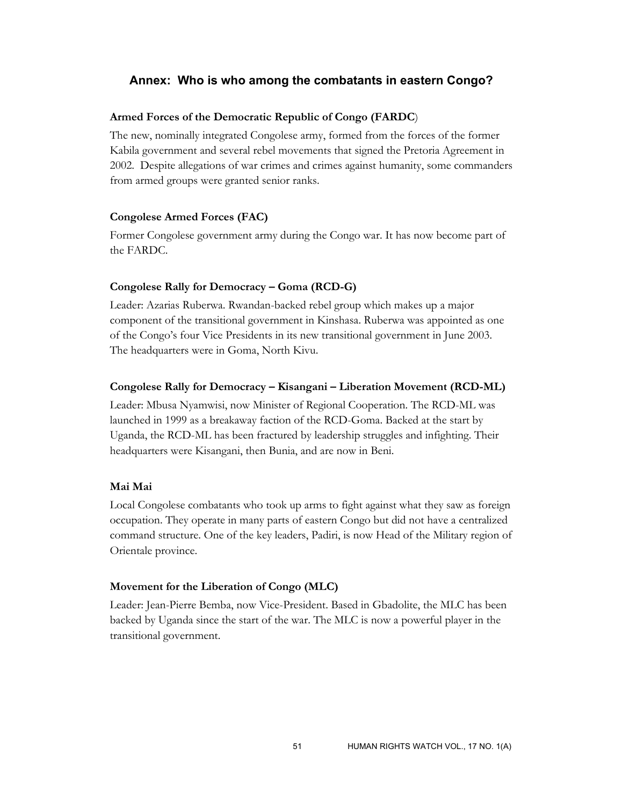### **Annex: Who is who among the combatants in eastern Congo?**

#### **Armed Forces of the Democratic Republic of Congo (FARDC**)

The new, nominally integrated Congolese army, formed from the forces of the former Kabila government and several rebel movements that signed the Pretoria Agreement in 2002. Despite allegations of war crimes and crimes against humanity, some commanders from armed groups were granted senior ranks.

#### **Congolese Armed Forces (FAC)**

Former Congolese government army during the Congo war. It has now become part of the FARDC.

#### **Congolese Rally for Democracy – Goma (RCD-G)**

Leader: Azarias Ruberwa. Rwandan-backed rebel group which makes up a major component of the transitional government in Kinshasa. Ruberwa was appointed as one of the Congo's four Vice Presidents in its new transitional government in June 2003. The headquarters were in Goma, North Kivu.

#### **Congolese Rally for Democracy – Kisangani – Liberation Movement (RCD-ML)**

Leader: Mbusa Nyamwisi, now Minister of Regional Cooperation. The RCD-ML was launched in 1999 as a breakaway faction of the RCD-Goma. Backed at the start by Uganda, the RCD-ML has been fractured by leadership struggles and infighting. Their headquarters were Kisangani, then Bunia, and are now in Beni.

### **Mai Mai**

Local Congolese combatants who took up arms to fight against what they saw as foreign occupation. They operate in many parts of eastern Congo but did not have a centralized command structure. One of the key leaders, Padiri, is now Head of the Military region of Orientale province.

#### **Movement for the Liberation of Congo (MLC)**

Leader: Jean-Pierre Bemba, now Vice-President. Based in Gbadolite, the MLC has been backed by Uganda since the start of the war. The MLC is now a powerful player in the transitional government.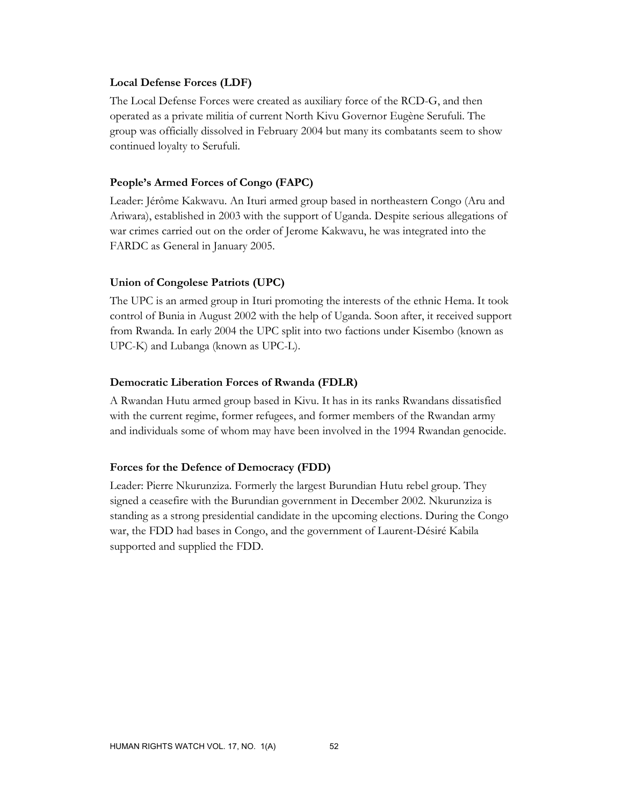#### **Local Defense Forces (LDF)**

The Local Defense Forces were created as auxiliary force of the RCD-G, and then operated as a private militia of current North Kivu Governor Eugène Serufuli. The group was officially dissolved in February 2004 but many its combatants seem to show continued loyalty to Serufuli.

#### **People's Armed Forces of Congo (FAPC)**

Leader: Jérôme Kakwavu. An Ituri armed group based in northeastern Congo (Aru and Ariwara), established in 2003 with the support of Uganda. Despite serious allegations of war crimes carried out on the order of Jerome Kakwavu, he was integrated into the FARDC as General in January 2005.

#### **Union of Congolese Patriots (UPC)**

The UPC is an armed group in Ituri promoting the interests of the ethnic Hema. It took control of Bunia in August 2002 with the help of Uganda. Soon after, it received support from Rwanda. In early 2004 the UPC split into two factions under Kisembo (known as UPC-K) and Lubanga (known as UPC-L).

#### **Democratic Liberation Forces of Rwanda (FDLR)**

A Rwandan Hutu armed group based in Kivu. It has in its ranks Rwandans dissatisfied with the current regime, former refugees, and former members of the Rwandan army and individuals some of whom may have been involved in the 1994 Rwandan genocide.

#### **Forces for the Defence of Democracy (FDD)**

Leader: Pierre Nkurunziza. Formerly the largest Burundian Hutu rebel group. They signed a ceasefire with the Burundian government in December 2002. Nkurunziza is standing as a strong presidential candidate in the upcoming elections. During the Congo war, the FDD had bases in Congo, and the government of Laurent-Désiré Kabila supported and supplied the FDD.